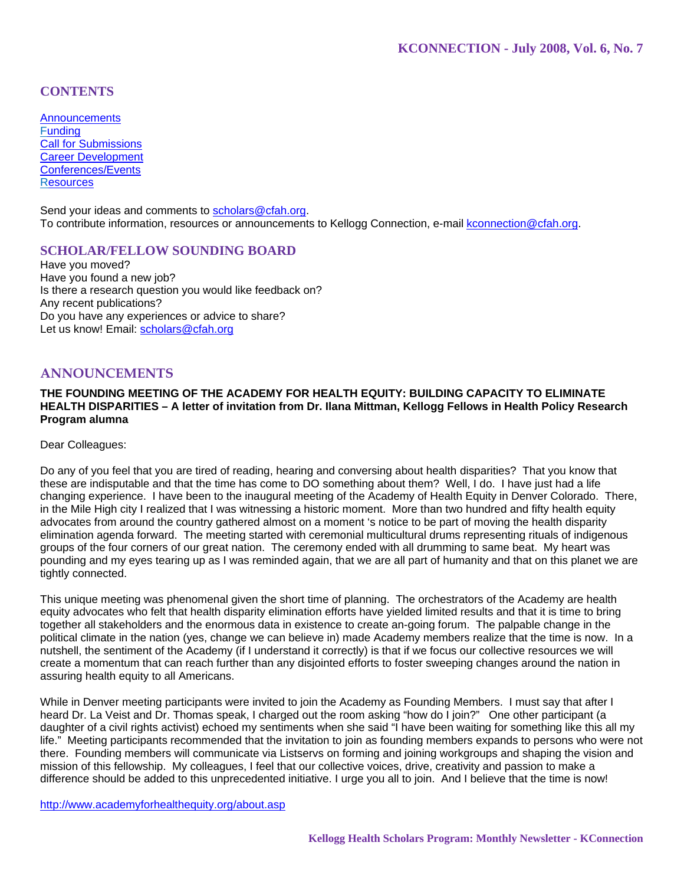# **CONTENTS**

**Announcements Funding** Call for Submissions Career Development Conferences/Events **Resources** 

Send your ideas and comments to scholars@cfah.org. To contribute information, resources or announcements to Kellogg Connection, e-mail kconnection@cfah.org.

### **SCHOLAR/FELLOW SOUNDING BOARD**

Have you moved? Have you found a new job? Is there a research question you would like feedback on? Any recent publications? Do you have any experiences or advice to share? Let us know! Email: scholars@cfah.org

# **ANNOUNCEMENTS**

### **THE FOUNDING MEETING OF THE ACADEMY FOR HEALTH EQUITY: BUILDING CAPACITY TO ELIMINATE HEALTH DISPARITIES – A letter of invitation from Dr. Ilana Mittman, Kellogg Fellows in Health Policy Research Program alumna**

Dear Colleagues:

Do any of you feel that you are tired of reading, hearing and conversing about health disparities? That you know that these are indisputable and that the time has come to DO something about them? Well, I do. I have just had a life changing experience. I have been to the inaugural meeting of the Academy of Health Equity in Denver Colorado. There, in the Mile High city I realized that I was witnessing a historic moment. More than two hundred and fifty health equity advocates from around the country gathered almost on a moment 's notice to be part of moving the health disparity elimination agenda forward. The meeting started with ceremonial multicultural drums representing rituals of indigenous groups of the four corners of our great nation. The ceremony ended with all drumming to same beat. My heart was pounding and my eyes tearing up as I was reminded again, that we are all part of humanity and that on this planet we are tightly connected.

This unique meeting was phenomenal given the short time of planning. The orchestrators of the Academy are health equity advocates who felt that health disparity elimination efforts have yielded limited results and that it is time to bring together all stakeholders and the enormous data in existence to create an-going forum. The palpable change in the political climate in the nation (yes, change we can believe in) made Academy members realize that the time is now. In a nutshell, the sentiment of the Academy (if I understand it correctly) is that if we focus our collective resources we will create a momentum that can reach further than any disjointed efforts to foster sweeping changes around the nation in assuring health equity to all Americans.

While in Denver meeting participants were invited to join the Academy as Founding Members. I must say that after I heard Dr. La Veist and Dr. Thomas speak, I charged out the room asking "how do I join?" One other participant (a daughter of a civil rights activist) echoed my sentiments when she said "I have been waiting for something like this all my life." Meeting participants recommended that the invitation to join as founding members expands to persons who were not there. Founding members will communicate via Listservs on forming and joining workgroups and shaping the vision and mission of this fellowship. My colleagues, I feel that our collective voices, drive, creativity and passion to make a difference should be added to this unprecedented initiative. I urge you all to join. And I believe that the time is now!

http://www.academyforhealthequity.org/about.asp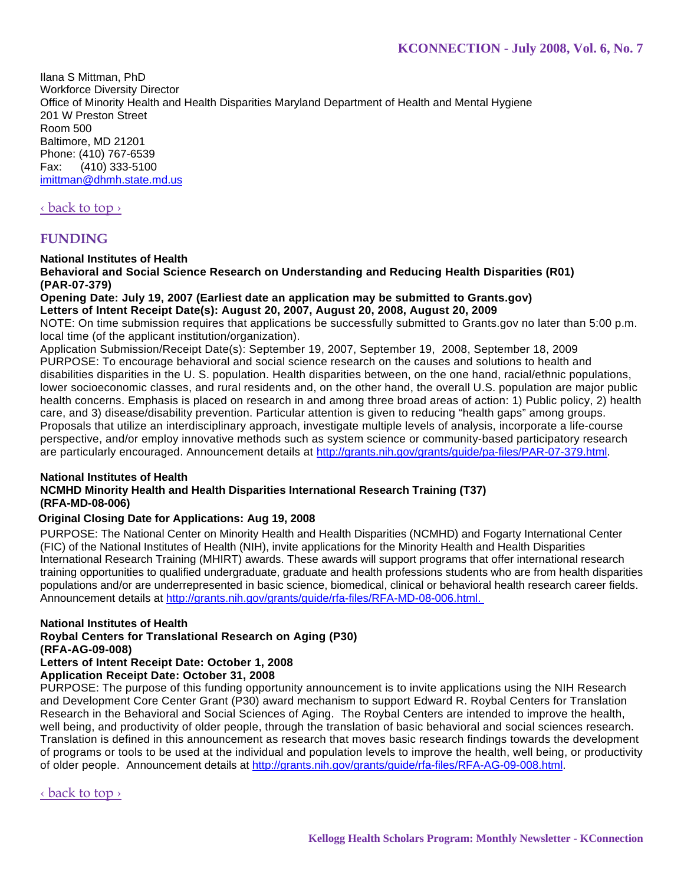Ilana S Mittman, PhD Workforce Diversity Director Office of Minority Health and Health Disparities Maryland Department of Health and Mental Hygiene 201 W Preston Street Room 500 Baltimore, MD 21201 Phone: (410) 767-6539 Fax: (410) 333-5100 imittman@dhmh.state.md.us

‹ back to top ›

# **FUNDING**

**National Institutes of Health Behavioral and Social Science Research on Understanding and Reducing Health Disparities (R01) (PAR-07-379)** 

**Opening Date: July 19, 2007 (Earliest date an application may be submitted to Grants.gov) Letters of Intent Receipt Date(s): August 20, 2007, August 20, 2008, August 20, 2009** 

NOTE: On time submission requires that applications be successfully submitted to Grants.gov no later than 5:00 p.m. local time (of the applicant institution/organization).

Application Submission/Receipt Date(s): September 19, 2007, September 19, 2008, September 18, 2009 PURPOSE: To encourage behavioral and social science research on the causes and solutions to health and disabilities disparities in the U. S. population. Health disparities between, on the one hand, racial/ethnic populations, lower socioeconomic classes, and rural residents and, on the other hand, the overall U.S. population are major public health concerns. Emphasis is placed on research in and among three broad areas of action: 1) Public policy, 2) health care, and 3) disease/disability prevention. Particular attention is given to reducing "health gaps" among groups. Proposals that utilize an interdisciplinary approach, investigate multiple levels of analysis, incorporate a life-course perspective, and/or employ innovative methods such as system science or community-based participatory research are particularly encouraged. Announcement details at http://grants.nih.gov/grants/guide/pa-files/PAR-07-379.html.

#### **National Institutes of Health NCMHD Minority Health and Health Disparities International Research Training (T37) (RFA-MD-08-006)**

# **Original Closing Date for Applications: Aug 19, 2008**

PURPOSE: The National Center on Minority Health and Health Disparities (NCMHD) and Fogarty International Center (FIC) of the National Institutes of Health (NIH), invite applications for the Minority Health and Health Disparities International Research Training (MHIRT) awards. These awards will support programs that offer international research training opportunities to qualified undergraduate, graduate and health professions students who are from health disparities populations and/or are underrepresented in basic science, biomedical, clinical or behavioral health research career fields. Announcement details at http://grants.nih.gov/grants/guide/rfa-files/RFA-MD-08-006.html.

### **National Institutes of Health**

**Roybal Centers for Translational Research on Aging (P30) (RFA-AG-09-008) Letters of Intent Receipt Date: October 1, 2008 Application Receipt Date: October 31, 2008** 

PURPOSE: The purpose of this funding opportunity announcement is to invite applications using the NIH Research and Development Core Center Grant (P30) award mechanism to support Edward R. Roybal Centers for Translation Research in the Behavioral and Social Sciences of Aging. The Roybal Centers are intended to improve the health, well being, and productivity of older people, through the translation of basic behavioral and social sciences research. Translation is defined in this announcement as research that moves basic research findings towards the development of programs or tools to be used at the individual and population levels to improve the health, well being, or productivity of older people. Announcement details at http://grants.nih.gov/grants/guide/rfa-files/RFA-AG-09-008.html.

‹ back to top ›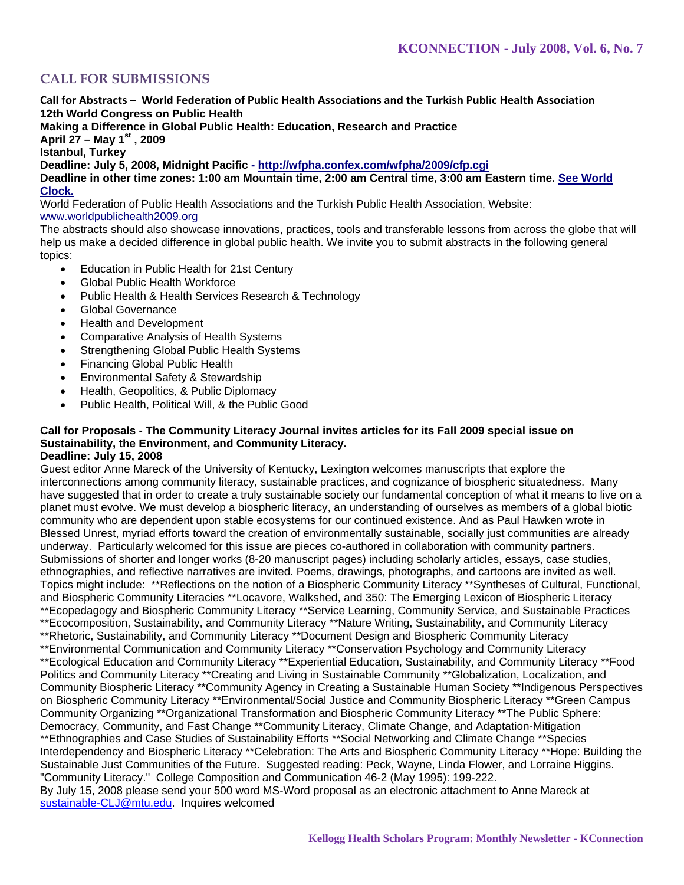# **CALL FOR SUBMISSIONS**

Call for Abstracts - World Federation of Public Health Associations and the Turkish Public Health Association **12th World Congress on Public Health** 

**Making a Difference in Global Public Health: Education, Research and Practice April 27 – May 1st , 2009 Istanbul, Turkey Deadline: July 5, 2008, Midnight Pacific - http://wfpha.confex.com/wfpha/2009/cfp.cgi Deadline in other time zones: 1:00 am Mountain time, 2:00 am Central time, 3:00 am Eastern time. See World** 

#### **Clock.**

World Federation of Public Health Associations and the Turkish Public Health Association, Website: www.worldpublichealth2009.org

The abstracts should also showcase innovations, practices, tools and transferable lessons from across the globe that will help us make a decided difference in global public health. We invite you to submit abstracts in the following general topics:

- Education in Public Health for 21st Century
- Global Public Health Workforce
- Public Health & Health Services Research & Technology
- Global Governance
- Health and Development
- Comparative Analysis of Health Systems
- Strengthening Global Public Health Systems
- Financing Global Public Health
- Environmental Safety & Stewardship
- Health, Geopolitics, & Public Diplomacy
- Public Health, Political Will, & the Public Good

# **Call for Proposals - The Community Literacy Journal invites articles for its Fall 2009 special issue on Sustainability, the Environment, and Community Literacy.**

**Deadline: July 15, 2008** 

Guest editor Anne Mareck of the University of Kentucky, Lexington welcomes manuscripts that explore the interconnections among community literacy, sustainable practices, and cognizance of biospheric situatedness. Many have suggested that in order to create a truly sustainable society our fundamental conception of what it means to live on a planet must evolve. We must develop a biospheric literacy, an understanding of ourselves as members of a global biotic community who are dependent upon stable ecosystems for our continued existence. And as Paul Hawken wrote in Blessed Unrest, myriad efforts toward the creation of environmentally sustainable, socially just communities are already underway. Particularly welcomed for this issue are pieces co-authored in collaboration with community partners. Submissions of shorter and longer works (8-20 manuscript pages) including scholarly articles, essays, case studies, ethnographies, and reflective narratives are invited. Poems, drawings, photographs, and cartoons are invited as well. Topics might include: \*\*Reflections on the notion of a Biospheric Community Literacy \*\*Syntheses of Cultural, Functional, and Biospheric Community Literacies \*\*Locavore, Walkshed, and 350: The Emerging Lexicon of Biospheric Literacy \*\*Ecopedagogy and Biospheric Community Literacy \*\*Service Learning, Community Service, and Sustainable Practices \*\*Ecocomposition, Sustainability, and Community Literacy \*\*Nature Writing, Sustainability, and Community Literacy \*\*Rhetoric, Sustainability, and Community Literacy \*\*Document Design and Biospheric Community Literacy \*\*Environmental Communication and Community Literacy \*\*Conservation Psychology and Community Literacy \*\*Ecological Education and Community Literacy \*\*Experiential Education, Sustainability, and Community Literacy \*\*Food Politics and Community Literacy \*\*Creating and Living in Sustainable Community \*\*Globalization, Localization, and Community Biospheric Literacy \*\*Community Agency in Creating a Sustainable Human Society \*\*Indigenous Perspectives on Biospheric Community Literacy \*\*Environmental/Social Justice and Community Biospheric Literacy \*\*Green Campus Community Organizing \*\*Organizational Transformation and Biospheric Community Literacy \*\*The Public Sphere: Democracy, Community, and Fast Change \*\*Community Literacy, Climate Change, and Adaptation-Mitigation \*\*Ethnographies and Case Studies of Sustainability Efforts \*\*Social Networking and Climate Change \*\*Species

Interdependency and Biospheric Literacy \*\*Celebration: The Arts and Biospheric Community Literacy \*\*Hope: Building the Sustainable Just Communities of the Future. Suggested reading: Peck, Wayne, Linda Flower, and Lorraine Higgins. "Community Literacy." College Composition and Communication 46-2 (May 1995): 199-222.

By July 15, 2008 please send your 500 word MS-Word proposal as an electronic attachment to Anne Mareck at sustainable-CLJ@mtu.edu. Inquires welcomed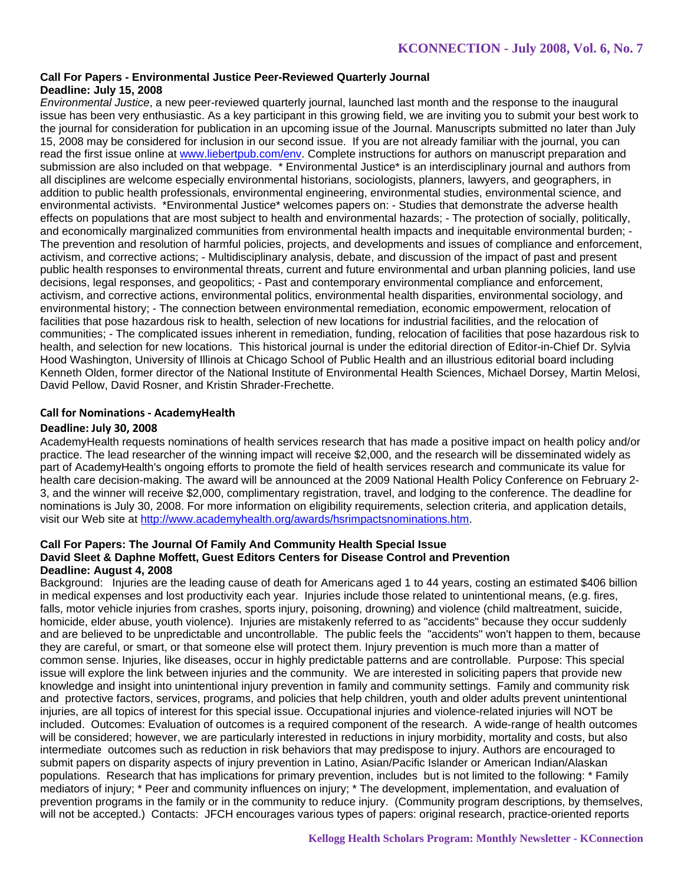#### **Call For Papers - Environmental Justice Peer-Reviewed Quarterly Journal Deadline: July 15, 2008**

*Environmental Justice*, a new peer-reviewed quarterly journal, launched last month and the response to the inaugural issue has been very enthusiastic. As a key participant in this growing field, we are inviting you to submit your best work to the journal for consideration for publication in an upcoming issue of the Journal. Manuscripts submitted no later than July 15, 2008 may be considered for inclusion in our second issue. If you are not already familiar with the journal, you can read the first issue online at www.liebertpub.com/env. Complete instructions for authors on manuscript preparation and submission are also included on that webpage. \* Environmental Justice\* is an interdisciplinary journal and authors from all disciplines are welcome especially environmental historians, sociologists, planners, lawyers, and geographers, in addition to public health professionals, environmental engineering, environmental studies, environmental science, and environmental activists. \*Environmental Justice\* welcomes papers on: - Studies that demonstrate the adverse health effects on populations that are most subject to health and environmental hazards; - The protection of socially, politically, and economically marginalized communities from environmental health impacts and inequitable environmental burden; The prevention and resolution of harmful policies, projects, and developments and issues of compliance and enforcement, activism, and corrective actions; - Multidisciplinary analysis, debate, and discussion of the impact of past and present public health responses to environmental threats, current and future environmental and urban planning policies, land use decisions, legal responses, and geopolitics; - Past and contemporary environmental compliance and enforcement, activism, and corrective actions, environmental politics, environmental health disparities, environmental sociology, and environmental history; - The connection between environmental remediation, economic empowerment, relocation of facilities that pose hazardous risk to health, selection of new locations for industrial facilities, and the relocation of communities; - The complicated issues inherent in remediation, funding, relocation of facilities that pose hazardous risk to health, and selection for new locations. This historical journal is under the editorial direction of Editor-in-Chief Dr. Sylvia Hood Washington, University of Illinois at Chicago School of Public Health and an illustrious editorial board including Kenneth Olden, former director of the National Institute of Environmental Health Sciences, Michael Dorsey, Martin Melosi, David Pellow, David Rosner, and Kristin Shrader-Frechette.

### **Call for Nominations ‐ AcademyHealth**

### **Deadline: July 30, 2008**

AcademyHealth requests nominations of health services research that has made a positive impact on health policy and/or practice. The lead researcher of the winning impact will receive \$2,000, and the research will be disseminated widely as part of AcademyHealth's ongoing efforts to promote the field of health services research and communicate its value for health care decision-making. The award will be announced at the 2009 National Health Policy Conference on February 2- 3, and the winner will receive \$2,000, complimentary registration, travel, and lodging to the conference. The deadline for nominations is July 30, 2008. For more information on eligibility requirements, selection criteria, and application details, visit our Web site at http://www.academyhealth.org/awards/hsrimpactsnominations.htm.

#### **Call For Papers: The Journal Of Family And Community Health Special Issue David Sleet & Daphne Moffett, Guest Editors Centers for Disease Control and Prevention Deadline: August 4, 2008**

Background: Injuries are the leading cause of death for Americans aged 1 to 44 years, costing an estimated \$406 billion in medical expenses and lost productivity each year. Injuries include those related to unintentional means, (e.g. fires, falls, motor vehicle injuries from crashes, sports injury, poisoning, drowning) and violence (child maltreatment, suicide, homicide, elder abuse, youth violence). Injuries are mistakenly referred to as "accidents" because they occur suddenly and are believed to be unpredictable and uncontrollable. The public feels the "accidents" won't happen to them, because they are careful, or smart, or that someone else will protect them. Injury prevention is much more than a matter of common sense. Injuries, like diseases, occur in highly predictable patterns and are controllable. Purpose: This special issue will explore the link between injuries and the community. We are interested in soliciting papers that provide new knowledge and insight into unintentional injury prevention in family and community settings. Family and community risk and protective factors, services, programs, and policies that help children, youth and older adults prevent unintentional injuries, are all topics of interest for this special issue. Occupational injuries and violence-related injuries will NOT be included. Outcomes: Evaluation of outcomes is a required component of the research. A wide-range of health outcomes will be considered; however, we are particularly interested in reductions in injury morbidity, mortality and costs, but also intermediate outcomes such as reduction in risk behaviors that may predispose to injury. Authors are encouraged to submit papers on disparity aspects of injury prevention in Latino, Asian/Pacific Islander or American Indian/Alaskan populations. Research that has implications for primary prevention, includes but is not limited to the following: \* Family mediators of injury; \* Peer and community influences on injury; \* The development, implementation, and evaluation of prevention programs in the family or in the community to reduce injury. (Community program descriptions, by themselves, will not be accepted.) Contacts: JFCH encourages various types of papers: original research, practice-oriented reports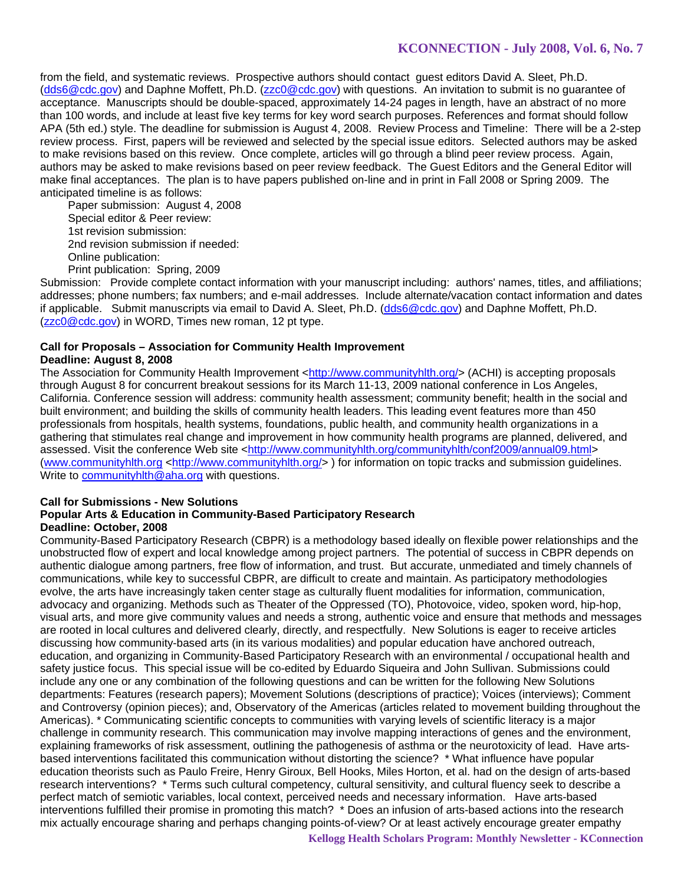from the field, and systematic reviews. Prospective authors should contact guest editors David A. Sleet, Ph.D. (dds6@cdc.gov) and Daphne Moffett, Ph.D. (zzc0@cdc.gov) with questions. An invitation to submit is no guarantee of acceptance. Manuscripts should be double-spaced, approximately 14-24 pages in length, have an abstract of no more than 100 words, and include at least five key terms for key word search purposes. References and format should follow APA (5th ed.) style. The deadline for submission is August 4, 2008. Review Process and Timeline: There will be a 2-step review process. First, papers will be reviewed and selected by the special issue editors. Selected authors may be asked to make revisions based on this review. Once complete, articles will go through a blind peer review process. Again, authors may be asked to make revisions based on peer review feedback. The Guest Editors and the General Editor will make final acceptances. The plan is to have papers published on-line and in print in Fall 2008 or Spring 2009. The anticipated timeline is as follows:

 Paper submission: August 4, 2008 Special editor & Peer review: 1st revision submission: 2nd revision submission if needed: Online publication: Print publication: Spring, 2009

Submission: Provide complete contact information with your manuscript including: authors' names, titles, and affiliations; addresses; phone numbers; fax numbers; and e-mail addresses. Include alternate/vacation contact information and dates if applicable. Submit manuscripts via email to David A. Sleet, Ph.D. (dds6@cdc.gov) and Daphne Moffett, Ph.D. (zzc0@cdc.gov) in WORD, Times new roman, 12 pt type.

#### **Call for Proposals – Association for Community Health Improvement Deadline: August 8, 2008**

The Association for Community Health Improvement <http://www.communityhlth.org/> (ACHI) is accepting proposals through August 8 for concurrent breakout sessions for its March 11-13, 2009 national conference in Los Angeles, California. Conference session will address: community health assessment; community benefit; health in the social and built environment; and building the skills of community health leaders. This leading event features more than 450 professionals from hospitals, health systems, foundations, public health, and community health organizations in a gathering that stimulates real change and improvement in how community health programs are planned, delivered, and assessed. Visit the conference Web site <http://www.communityhlth.org/communityhlth/conf2009/annual09.html> (www.communityhlth.org <http://www.communityhlth.org/> ) for information on topic tracks and submission guidelines. Write to communityhith@aha.org with questions.

# **Call for Submissions - New Solutions Popular Arts & Education in Community-Based Participatory Research**

# **Deadline: October, 2008**

Community-Based Participatory Research (CBPR) is a methodology based ideally on flexible power relationships and the unobstructed flow of expert and local knowledge among project partners. The potential of success in CBPR depends on authentic dialogue among partners, free flow of information, and trust. But accurate, unmediated and timely channels of communications, while key to successful CBPR, are difficult to create and maintain. As participatory methodologies evolve, the arts have increasingly taken center stage as culturally fluent modalities for information, communication, advocacy and organizing. Methods such as Theater of the Oppressed (TO), Photovoice, video, spoken word, hip-hop, visual arts, and more give community values and needs a strong, authentic voice and ensure that methods and messages are rooted in local cultures and delivered clearly, directly, and respectfully. New Solutions is eager to receive articles discussing how community-based arts (in its various modalities) and popular education have anchored outreach, education, and organizing in Community-Based Participatory Research with an environmental / occupational health and safety justice focus. This special issue will be co-edited by Eduardo Siqueira and John Sullivan. Submissions could include any one or any combination of the following questions and can be written for the following New Solutions departments: Features (research papers); Movement Solutions (descriptions of practice); Voices (interviews); Comment and Controversy (opinion pieces); and, Observatory of the Americas (articles related to movement building throughout the Americas). \* Communicating scientific concepts to communities with varying levels of scientific literacy is a major challenge in community research. This communication may involve mapping interactions of genes and the environment, explaining frameworks of risk assessment, outlining the pathogenesis of asthma or the neurotoxicity of lead. Have artsbased interventions facilitated this communication without distorting the science? \* What influence have popular education theorists such as Paulo Freire, Henry Giroux, Bell Hooks, Miles Horton, et al. had on the design of arts-based research interventions? \* Terms such cultural competency, cultural sensitivity, and cultural fluency seek to describe a perfect match of semiotic variables, local context, perceived needs and necessary information. Have arts-based interventions fulfilled their promise in promoting this match? \* Does an infusion of arts-based actions into the research mix actually encourage sharing and perhaps changing points-of-view? Or at least actively encourage greater empathy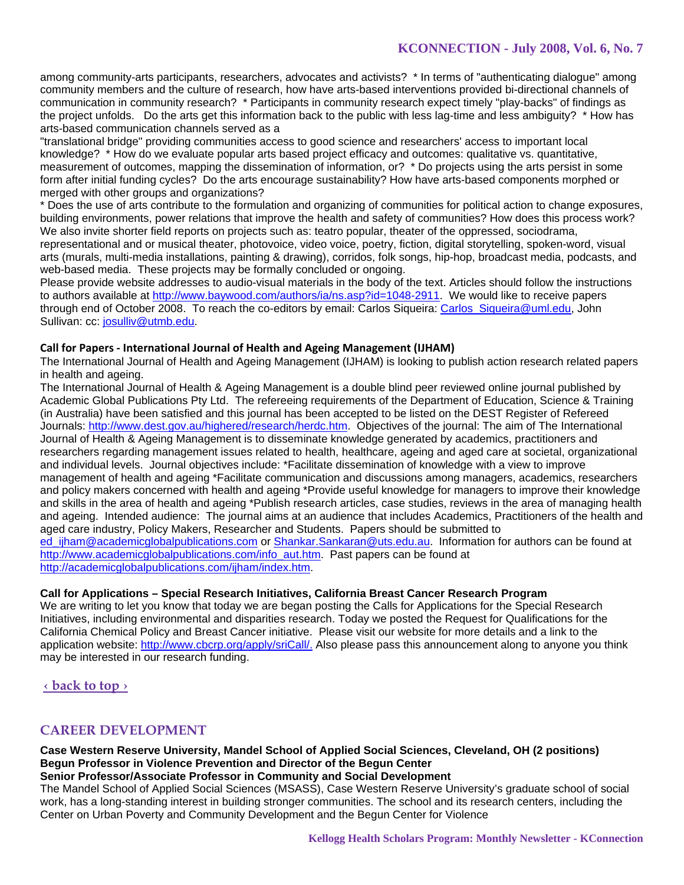among community-arts participants, researchers, advocates and activists? \* In terms of "authenticating dialogue" among community members and the culture of research, how have arts-based interventions provided bi-directional channels of communication in community research? \* Participants in community research expect timely "play-backs" of findings as the project unfolds. Do the arts get this information back to the public with less lag-time and less ambiguity? \* How has arts-based communication channels served as a

"translational bridge" providing communities access to good science and researchers' access to important local knowledge? \* How do we evaluate popular arts based project efficacy and outcomes: qualitative vs. quantitative, measurement of outcomes, mapping the dissemination of information, or? \* Do projects using the arts persist in some form after initial funding cycles? Do the arts encourage sustainability? How have arts-based components morphed or merged with other groups and organizations?

\* Does the use of arts contribute to the formulation and organizing of communities for political action to change exposures, building environments, power relations that improve the health and safety of communities? How does this process work? We also invite shorter field reports on projects such as: teatro popular, theater of the oppressed, sociodrama, representational and or musical theater, photovoice, video voice, poetry, fiction, digital storytelling, spoken-word, visual arts (murals, multi-media installations, painting & drawing), corridos, folk songs, hip-hop, broadcast media, podcasts, and web-based media. These projects may be formally concluded or ongoing.

Please provide website addresses to audio-visual materials in the body of the text. Articles should follow the instructions to authors available at http://www.baywood.com/authors/ia/ns.asp?id=1048-2911. We would like to receive papers through end of October 2008. To reach the co-editors by email: Carlos Siqueira: Carlos\_Siqueira@uml.edu, John Sullivan: cc: josulliv@utmb.edu.

### **Call for Papers ‐ International Journal of Health and Ageing Management (IJHAM)**

The International Journal of Health and Ageing Management (IJHAM) is looking to publish action research related papers in health and ageing.

The International Journal of Health & Ageing Management is a double blind peer reviewed online journal published by Academic Global Publications Pty Ltd. The refereeing requirements of the Department of Education, Science & Training (in Australia) have been satisfied and this journal has been accepted to be listed on the DEST Register of Refereed Journals: http://www.dest.gov.au/highered/research/herdc.htm. Objectives of the journal: The aim of The International Journal of Health & Ageing Management is to disseminate knowledge generated by academics, practitioners and researchers regarding management issues related to health, healthcare, ageing and aged care at societal, organizational and individual levels. Journal objectives include: \*Facilitate dissemination of knowledge with a view to improve management of health and ageing \*Facilitate communication and discussions among managers, academics, researchers and policy makers concerned with health and ageing \*Provide useful knowledge for managers to improve their knowledge and skills in the area of health and ageing \*Publish research articles, case studies, reviews in the area of managing health and ageing. Intended audience: The journal aims at an audience that includes Academics, Practitioners of the health and aged care industry, Policy Makers, Researcher and Students. Papers should be submitted to ed\_ijham@academicglobalpublications.com or Shankar.Sankaran@uts.edu.au. Information for authors can be found at http://www.academicglobalpublications.com/info\_aut.htm. Past papers can be found at

http://academicglobalpublications.com/ijham/index.htm.

### **Call for Applications – Special Research Initiatives, California Breast Cancer Research Program**

We are writing to let you know that today we are began posting the Calls for Applications for the Special Research Initiatives, including environmental and disparities research. Today we posted the Request for Qualifications for the California Chemical Policy and Breast Cancer initiative. Please visit our website for more details and a link to the application website: http://www.cbcrp.org/apply/sriCall/. Also please pass this announcement along to anyone you think may be interested in our research funding.

# **‹ back to top ›**

# **CAREER DEVELOPMENT**

**Case Western Reserve University, Mandel School of Applied Social Sciences, Cleveland, OH (2 positions) Begun Professor in Violence Prevention and Director of the Begun Center** 

**Senior Professor/Associate Professor in Community and Social Development** 

The Mandel School of Applied Social Sciences (MSASS), Case Western Reserve University's graduate school of social work, has a long-standing interest in building stronger communities. The school and its research centers, including the Center on Urban Poverty and Community Development and the Begun Center for Violence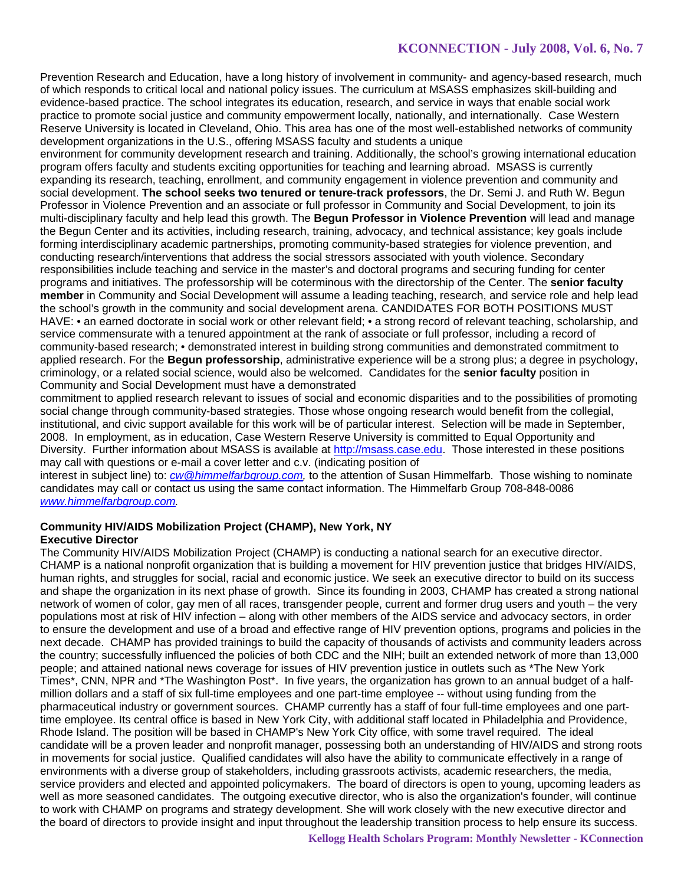Prevention Research and Education, have a long history of involvement in community- and agency-based research, much of which responds to critical local and national policy issues. The curriculum at MSASS emphasizes skill-building and evidence-based practice. The school integrates its education, research, and service in ways that enable social work practice to promote social justice and community empowerment locally, nationally, and internationally. Case Western Reserve University is located in Cleveland, Ohio. This area has one of the most well-established networks of community development organizations in the U.S., offering MSASS faculty and students a unique

environment for community development research and training. Additionally, the school's growing international education program offers faculty and students exciting opportunities for teaching and learning abroad. MSASS is currently expanding its research, teaching, enrollment, and community engagement in violence prevention and community and social development. **The school seeks two tenured or tenure-track professors**, the Dr. Semi J. and Ruth W. Begun Professor in Violence Prevention and an associate or full professor in Community and Social Development, to join its multi-disciplinary faculty and help lead this growth. The **Begun Professor in Violence Prevention** will lead and manage the Begun Center and its activities, including research, training, advocacy, and technical assistance; key goals include forming interdisciplinary academic partnerships, promoting community-based strategies for violence prevention, and conducting research/interventions that address the social stressors associated with youth violence. Secondary responsibilities include teaching and service in the master's and doctoral programs and securing funding for center programs and initiatives. The professorship will be coterminous with the directorship of the Center. The **senior faculty member** in Community and Social Development will assume a leading teaching, research, and service role and help lead the school's growth in the community and social development arena. CANDIDATES FOR BOTH POSITIONS MUST HAVE: • an earned doctorate in social work or other relevant field; • a strong record of relevant teaching, scholarship, and service commensurate with a tenured appointment at the rank of associate or full professor, including a record of community-based research; • demonstrated interest in building strong communities and demonstrated commitment to applied research. For the **Begun professorship**, administrative experience will be a strong plus; a degree in psychology, criminology, or a related social science, would also be welcomed. Candidates for the **senior faculty** position in Community and Social Development must have a demonstrated

commitment to applied research relevant to issues of social and economic disparities and to the possibilities of promoting social change through community-based strategies. Those whose ongoing research would benefit from the collegial, institutional, and civic support available for this work will be of particular interest. Selection will be made in September, 2008. In employment, as in education, Case Western Reserve University is committed to Equal Opportunity and Diversity. Further information about MSASS is available at http://msass.case.edu. Those interested in these positions may call with questions or e-mail a cover letter and c.v. (indicating position of interest in subject line) to: *cw@himmelfarbgroup.com,* to the attention of Susan Himmelfarb. Those wishing to nominate

candidates may call or contact us using the same contact information. The Himmelfarb Group 708-848-0086 *www.himmelfarbgroup.com.* 

#### **Community HIV/AIDS Mobilization Project (CHAMP), New York, NY Executive Director**

The Community HIV/AIDS Mobilization Project (CHAMP) is conducting a national search for an executive director. CHAMP is a national nonprofit organization that is building a movement for HIV prevention justice that bridges HIV/AIDS, human rights, and struggles for social, racial and economic justice. We seek an executive director to build on its success and shape the organization in its next phase of growth. Since its founding in 2003, CHAMP has created a strong national network of women of color, gay men of all races, transgender people, current and former drug users and youth – the very populations most at risk of HIV infection – along with other members of the AIDS service and advocacy sectors, in order to ensure the development and use of a broad and effective range of HIV prevention options, programs and policies in the next decade. CHAMP has provided trainings to build the capacity of thousands of activists and community leaders across the country; successfully influenced the policies of both CDC and the NIH; built an extended network of more than 13,000 people; and attained national news coverage for issues of HIV prevention justice in outlets such as \*The New York Times\*, CNN, NPR and \*The Washington Post\*. In five years, the organization has grown to an annual budget of a halfmillion dollars and a staff of six full-time employees and one part-time employee -- without using funding from the pharmaceutical industry or government sources. CHAMP currently has a staff of four full-time employees and one parttime employee. Its central office is based in New York City, with additional staff located in Philadelphia and Providence, Rhode Island. The position will be based in CHAMP's New York City office, with some travel required. The ideal candidate will be a proven leader and nonprofit manager, possessing both an understanding of HIV/AIDS and strong roots in movements for social justice. Qualified candidates will also have the ability to communicate effectively in a range of environments with a diverse group of stakeholders, including grassroots activists, academic researchers, the media, service providers and elected and appointed policymakers. The board of directors is open to young, upcoming leaders as well as more seasoned candidates. The outgoing executive director, who is also the organization's founder, will continue to work with CHAMP on programs and strategy development. She will work closely with the new executive director and the board of directors to provide insight and input throughout the leadership transition process to help ensure its success.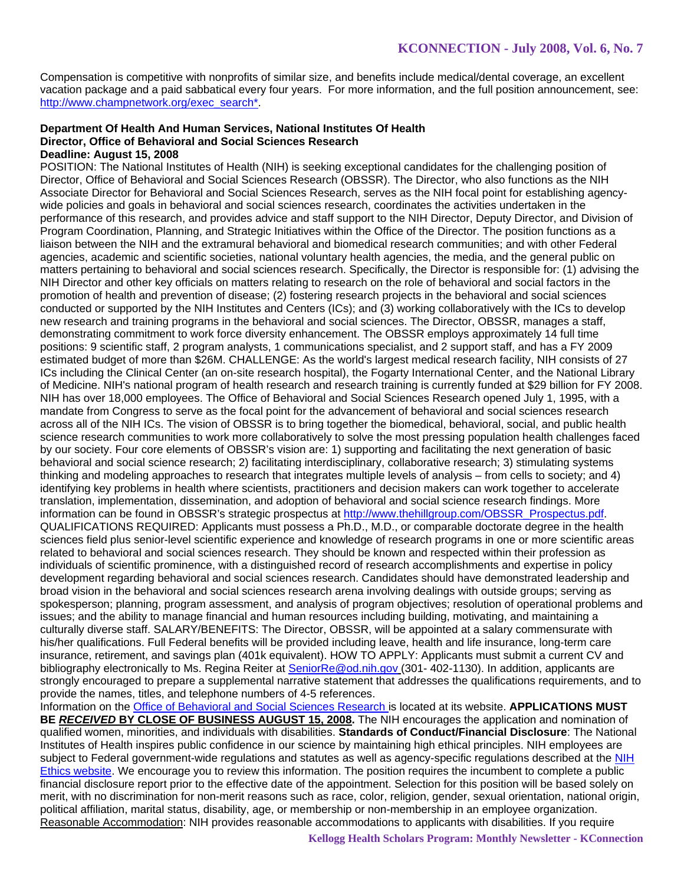Compensation is competitive with nonprofits of similar size, and benefits include medical/dental coverage, an excellent vacation package and a paid sabbatical every four years. For more information, and the full position announcement, see: http://www.champnetwork.org/exec\_search\*.

#### **Department Of Health And Human Services, National Institutes Of Health Director, Office of Behavioral and Social Sciences Research Deadline: August 15, 2008**

POSITION: The National Institutes of Health (NIH) is seeking exceptional candidates for the challenging position of Director, Office of Behavioral and Social Sciences Research (OBSSR). The Director, who also functions as the NIH Associate Director for Behavioral and Social Sciences Research, serves as the NIH focal point for establishing agencywide policies and goals in behavioral and social sciences research, coordinates the activities undertaken in the performance of this research, and provides advice and staff support to the NIH Director, Deputy Director, and Division of Program Coordination, Planning, and Strategic Initiatives within the Office of the Director. The position functions as a liaison between the NIH and the extramural behavioral and biomedical research communities; and with other Federal agencies, academic and scientific societies, national voluntary health agencies, the media, and the general public on matters pertaining to behavioral and social sciences research. Specifically, the Director is responsible for: (1) advising the NIH Director and other key officials on matters relating to research on the role of behavioral and social factors in the promotion of health and prevention of disease; (2) fostering research projects in the behavioral and social sciences conducted or supported by the NIH Institutes and Centers (ICs); and (3) working collaboratively with the ICs to develop new research and training programs in the behavioral and social sciences. The Director, OBSSR, manages a staff, demonstrating commitment to work force diversity enhancement. The OBSSR employs approximately 14 full time positions: 9 scientific staff, 2 program analysts, 1 communications specialist, and 2 support staff, and has a FY 2009 estimated budget of more than \$26M. CHALLENGE: As the world's largest medical research facility, NIH consists of 27 ICs including the Clinical Center (an on-site research hospital), the Fogarty International Center, and the National Library of Medicine. NIH's national program of health research and research training is currently funded at \$29 billion for FY 2008. NIH has over 18,000 employees. The Office of Behavioral and Social Sciences Research opened July 1, 1995, with a mandate from Congress to serve as the focal point for the advancement of behavioral and social sciences research across all of the NIH ICs. The vision of OBSSR is to bring together the biomedical, behavioral, social, and public health science research communities to work more collaboratively to solve the most pressing population health challenges faced by our society. Four core elements of OBSSR's vision are: 1) supporting and facilitating the next generation of basic behavioral and social science research; 2) facilitating interdisciplinary, collaborative research; 3) stimulating systems thinking and modeling approaches to research that integrates multiple levels of analysis – from cells to society; and 4) identifying key problems in health where scientists, practitioners and decision makers can work together to accelerate translation, implementation, dissemination, and adoption of behavioral and social science research findings. More information can be found in OBSSR's strategic prospectus at http://www.thehillgroup.com/OBSSR\_Prospectus.pdf. QUALIFICATIONS REQUIRED: Applicants must possess a Ph.D., M.D., or comparable doctorate degree in the health sciences field plus senior-level scientific experience and knowledge of research programs in one or more scientific areas related to behavioral and social sciences research. They should be known and respected within their profession as individuals of scientific prominence, with a distinguished record of research accomplishments and expertise in policy development regarding behavioral and social sciences research. Candidates should have demonstrated leadership and broad vision in the behavioral and social sciences research arena involving dealings with outside groups; serving as spokesperson; planning, program assessment, and analysis of program objectives; resolution of operational problems and issues; and the ability to manage financial and human resources including building, motivating, and maintaining a culturally diverse staff. SALARY/BENEFITS: The Director, OBSSR, will be appointed at a salary commensurate with his/her qualifications. Full Federal benefits will be provided including leave, health and life insurance, long-term care insurance, retirement, and savings plan (401k equivalent). HOW TO APPLY: Applicants must submit a current CV and bibliography electronically to Ms. Regina Reiter at SeniorRe@od.nih.gov (301- 402-1130). In addition, applicants are strongly encouraged to prepare a supplemental narrative statement that addresses the qualifications requirements, and to provide the names, titles, and telephone numbers of 4-5 references.

Information on the Office of Behavioral and Social Sciences Research is located at its website. **APPLICATIONS MUST BE** *RECEIVED* **BY CLOSE OF BUSINESS AUGUST 15, 2008.** The NIH encourages the application and nomination of qualified women, minorities, and individuals with disabilities. **Standards of Conduct/Financial Disclosure**: The National Institutes of Health inspires public confidence in our science by maintaining high ethical principles. NIH employees are subject to Federal government-wide regulations and statutes as well as agency-specific regulations described at the NIH Ethics website. We encourage you to review this information. The position requires the incumbent to complete a public financial disclosure report prior to the effective date of the appointment. Selection for this position will be based solely on merit, with no discrimination for non-merit reasons such as race, color, religion, gender, sexual orientation, national origin, political affiliation, marital status, disability, age, or membership or non-membership in an employee organization. Reasonable Accommodation: NIH provides reasonable accommodations to applicants with disabilities. If you require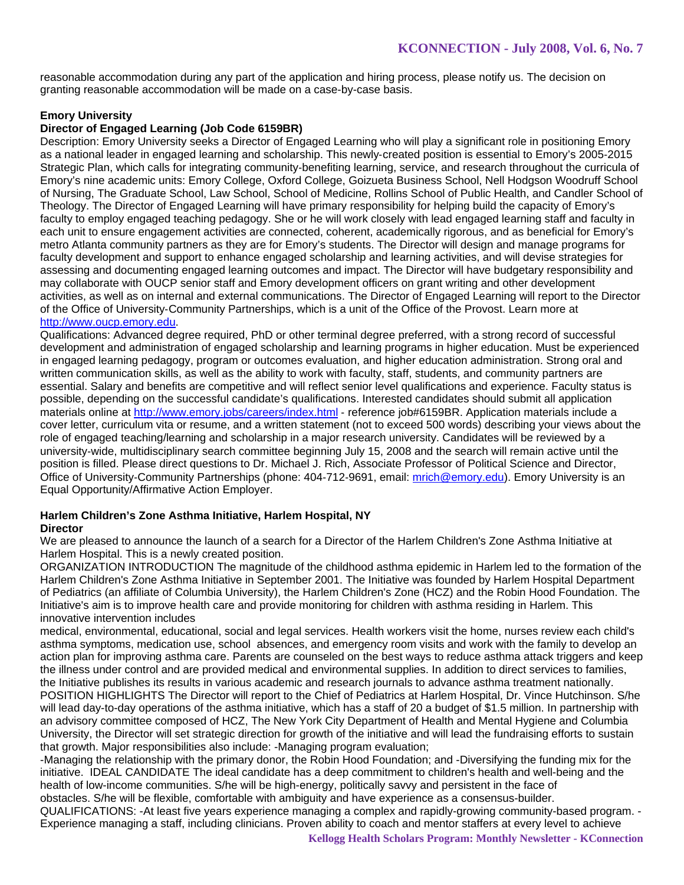reasonable accommodation during any part of the application and hiring process, please notify us. The decision on granting reasonable accommodation will be made on a case-by-case basis.

# **Emory University**

# **Director of Engaged Learning (Job Code 6159BR)**

Description: Emory University seeks a Director of Engaged Learning who will play a significant role in positioning Emory as a national leader in engaged learning and scholarship. This newly‐created position is essential to Emory's 2005‐2015 Strategic Plan, which calls for integrating community‐benefiting learning, service, and research throughout the curricula of Emory's nine academic units: Emory College, Oxford College, Goizueta Business School, Nell Hodgson Woodruff School of Nursing, The Graduate School, Law School, School of Medicine, Rollins School of Public Health, and Candler School of Theology. The Director of Engaged Learning will have primary responsibility for helping build the capacity of Emory's faculty to employ engaged teaching pedagogy. She or he will work closely with lead engaged learning staff and faculty in each unit to ensure engagement activities are connected, coherent, academically rigorous, and as beneficial for Emory's metro Atlanta community partners as they are for Emory's students. The Director will design and manage programs for faculty development and support to enhance engaged scholarship and learning activities, and will devise strategies for assessing and documenting engaged learning outcomes and impact. The Director will have budgetary responsibility and may collaborate with OUCP senior staff and Emory development officers on grant writing and other development activities, as well as on internal and external communications. The Director of Engaged Learning will report to the Director of the Office of University‐Community Partnerships, which is a unit of the Office of the Provost. Learn more at http://www.oucp.emory.edu.

Qualifications: Advanced degree required, PhD or other terminal degree preferred, with a strong record of successful development and administration of engaged scholarship and learning programs in higher education. Must be experienced in engaged learning pedagogy, program or outcomes evaluation, and higher education administration. Strong oral and written communication skills, as well as the ability to work with faculty, staff, students, and community partners are essential. Salary and benefits are competitive and will reflect senior level qualifications and experience. Faculty status is possible, depending on the successful candidate's qualifications. Interested candidates should submit all application materials online at http://www.emory.jobs/careers/index.html - reference job#6159BR. Application materials include a cover letter, curriculum vita or resume, and a written statement (not to exceed 500 words) describing your views about the role of engaged teaching/learning and scholarship in a major research university. Candidates will be reviewed by a university‐wide, multidisciplinary search committee beginning July 15, 2008 and the search will remain active until the position is filled. Please direct questions to Dr. Michael J. Rich, Associate Professor of Political Science and Director, Office of University‐Community Partnerships (phone: 404‐712‐9691, email: mrich@emory.edu). Emory University is an Equal Opportunity/Affirmative Action Employer.

# **Harlem Children's Zone Asthma Initiative, Harlem Hospital, NY**

### **Director**

We are pleased to announce the launch of a search for a Director of the Harlem Children's Zone Asthma Initiative at Harlem Hospital. This is a newly created position.

ORGANIZATION INTRODUCTION The magnitude of the childhood asthma epidemic in Harlem led to the formation of the Harlem Children's Zone Asthma Initiative in September 2001. The Initiative was founded by Harlem Hospital Department of Pediatrics (an affiliate of Columbia University), the Harlem Children's Zone (HCZ) and the Robin Hood Foundation. The Initiative's aim is to improve health care and provide monitoring for children with asthma residing in Harlem. This innovative intervention includes

medical, environmental, educational, social and legal services. Health workers visit the home, nurses review each child's asthma symptoms, medication use, school absences, and emergency room visits and work with the family to develop an action plan for improving asthma care. Parents are counseled on the best ways to reduce asthma attack triggers and keep the illness under control and are provided medical and environmental supplies. In addition to direct services to families, the Initiative publishes its results in various academic and research journals to advance asthma treatment nationally. POSITION HIGHLIGHTS The Director will report to the Chief of Pediatrics at Harlem Hospital, Dr. Vince Hutchinson. S/he will lead day-to-day operations of the asthma initiative, which has a staff of 20 a budget of \$1.5 million. In partnership with an advisory committee composed of HCZ, The New York City Department of Health and Mental Hygiene and Columbia University, the Director will set strategic direction for growth of the initiative and will lead the fundraising efforts to sustain that growth. Major responsibilities also include: -Managing program evaluation;

-Managing the relationship with the primary donor, the Robin Hood Foundation; and -Diversifying the funding mix for the initiative. IDEAL CANDIDATE The ideal candidate has a deep commitment to children's health and well-being and the health of low-income communities. S/he will be high-energy, politically savvy and persistent in the face of obstacles. S/he will be flexible, comfortable with ambiguity and have experience as a consensus-builder.

QUALIFICATIONS: -At least five years experience managing a complex and rapidly-growing community-based program. - Experience managing a staff, including clinicians. Proven ability to coach and mentor staffers at every level to achieve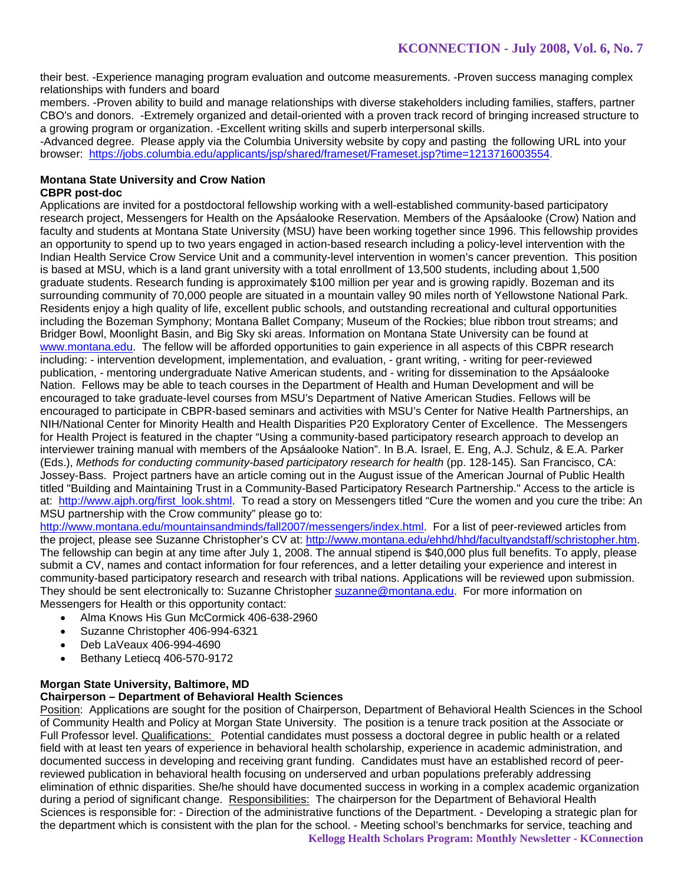their best. -Experience managing program evaluation and outcome measurements. -Proven success managing complex relationships with funders and board

members. -Proven ability to build and manage relationships with diverse stakeholders including families, staffers, partner CBO's and donors. -Extremely organized and detail-oriented with a proven track record of bringing increased structure to a growing program or organization. -Excellent writing skills and superb interpersonal skills.

-Advanced degree. Please apply via the Columbia University website by copy and pasting the following URL into your browser: https://jobs.columbia.edu/applicants/jsp/shared/frameset/Frameset.jsp?time=1213716003554.

### **Montana State University and Crow Nation CBPR post-doc**

Applications are invited for a postdoctoral fellowship working with a well-established community-based participatory research project, Messengers for Health on the Apsáalooke Reservation. Members of the Apsáalooke (Crow) Nation and faculty and students at Montana State University (MSU) have been working together since 1996. This fellowship provides an opportunity to spend up to two years engaged in action-based research including a policy-level intervention with the Indian Health Service Crow Service Unit and a community-level intervention in women's cancer prevention. This position is based at MSU, which is a land grant university with a total enrollment of 13,500 students, including about 1,500 graduate students. Research funding is approximately \$100 million per year and is growing rapidly. Bozeman and its surrounding community of 70,000 people are situated in a mountain valley 90 miles north of Yellowstone National Park. Residents enjoy a high quality of life, excellent public schools, and outstanding recreational and cultural opportunities including the Bozeman Symphony; Montana Ballet Company; Museum of the Rockies; blue ribbon trout streams; and Bridger Bowl, Moonlight Basin, and Big Sky ski areas. Information on Montana State University can be found at www.montana.edu. The fellow will be afforded opportunities to gain experience in all aspects of this CBPR research including: - intervention development, implementation, and evaluation, - grant writing, - writing for peer-reviewed publication, - mentoring undergraduate Native American students, and - writing for dissemination to the Apsáalooke Nation. Fellows may be able to teach courses in the Department of Health and Human Development and will be encouraged to take graduate-level courses from MSU's Department of Native American Studies. Fellows will be encouraged to participate in CBPR-based seminars and activities with MSU's Center for Native Health Partnerships, an NIH/National Center for Minority Health and Health Disparities P20 Exploratory Center of Excellence. The Messengers for Health Project is featured in the chapter "Using a community-based participatory research approach to develop an interviewer training manual with members of the Apsáalooke Nation". In B.A. Israel, E. Eng, A.J. Schulz, & E.A. Parker (Eds.), *Methods for conducting community-based participatory research for health* (pp. 128-145)*.* San Francisco, CA: Jossey-Bass. Project partners have an article coming out in the August issue of the American Journal of Public Health titled "Building and Maintaining Trust in a Community-Based Participatory Research Partnership." Access to the article is at: http://www.ajph.org/first\_look.shtml. To read a story on Messengers titled "Cure the women and you cure the tribe: An MSU partnership with the Crow community" please go to:

http://www.montana.edu/mountainsandminds/fall2007/messengers/index.html. For a list of peer-reviewed articles from the project, please see Suzanne Christopher's CV at: http://www.montana.edu/ehhd/hhd/facultyandstaff/schristopher.htm. The fellowship can begin at any time after July 1, 2008. The annual stipend is \$40,000 plus full benefits. To apply, please submit a CV, names and contact information for four references, and a letter detailing your experience and interest in community-based participatory research and research with tribal nations. Applications will be reviewed upon submission. They should be sent electronically to: Suzanne Christopher suzanne@montana.edu. For more information on Messengers for Health or this opportunity contact:

- Alma Knows His Gun McCormick 406-638-2960
- Suzanne Christopher 406-994-6321
- Deb LaVeaux 406-994-4690
- Bethany Letiecq 406-570-9172

# **Morgan State University, Baltimore, MD**

# **Chairperson – Department of Behavioral Health Sciences**

Position: Applications are sought for the position of Chairperson, Department of Behavioral Health Sciences in the School of Community Health and Policy at Morgan State University. The position is a tenure track position at the Associate or Full Professor level. Qualifications: Potential candidates must possess a doctoral degree in public health or a related field with at least ten years of experience in behavioral health scholarship, experience in academic administration, and documented success in developing and receiving grant funding. Candidates must have an established record of peerreviewed publication in behavioral health focusing on underserved and urban populations preferably addressing elimination of ethnic disparities. She/he should have documented success in working in a complex academic organization during a period of significant change. Responsibilities: The chairperson for the Department of Behavioral Health Sciences is responsible for: - Direction of the administrative functions of the Department. - Developing a strategic plan for the department which is consistent with the plan for the school. - Meeting school's benchmarks for service, teaching and

**Kellogg Health Scholars Program: Monthly Newsletter - KConnection**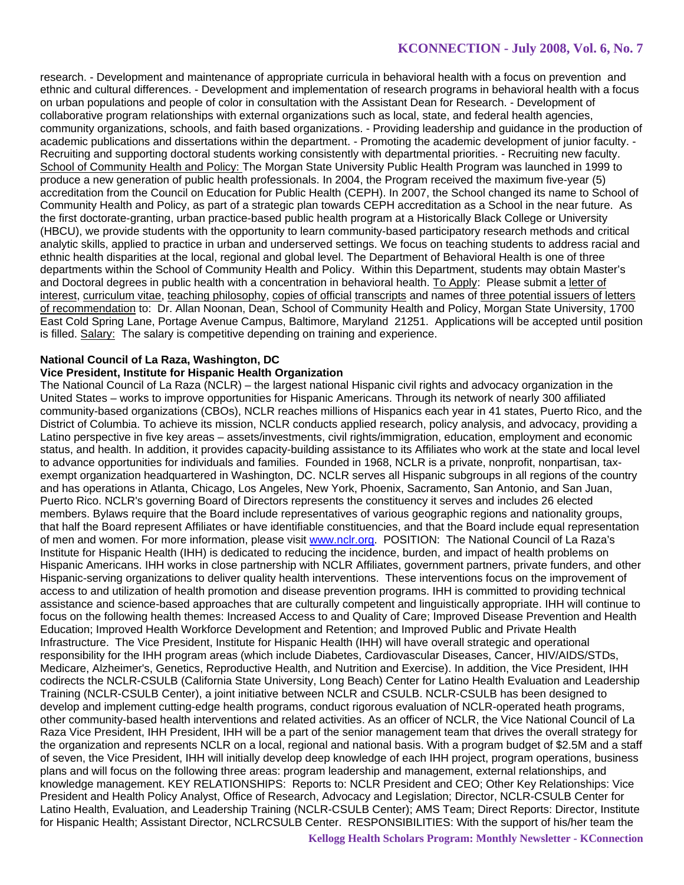research. - Development and maintenance of appropriate curricula in behavioral health with a focus on prevention and ethnic and cultural differences. - Development and implementation of research programs in behavioral health with a focus on urban populations and people of color in consultation with the Assistant Dean for Research. - Development of collaborative program relationships with external organizations such as local, state, and federal health agencies, community organizations, schools, and faith based organizations. - Providing leadership and guidance in the production of academic publications and dissertations within the department. - Promoting the academic development of junior faculty. - Recruiting and supporting doctoral students working consistently with departmental priorities. - Recruiting new faculty. School of Community Health and Policy: The Morgan State University Public Health Program was launched in 1999 to produce a new generation of public health professionals. In 2004, the Program received the maximum five-year (5) accreditation from the Council on Education for Public Health (CEPH). In 2007, the School changed its name to School of Community Health and Policy, as part of a strategic plan towards CEPH accreditation as a School in the near future. As the first doctorate-granting, urban practice-based public health program at a Historically Black College or University (HBCU), we provide students with the opportunity to learn community-based participatory research methods and critical analytic skills, applied to practice in urban and underserved settings. We focus on teaching students to address racial and ethnic health disparities at the local, regional and global level. The Department of Behavioral Health is one of three departments within the School of Community Health and Policy. Within this Department, students may obtain Master's and Doctoral degrees in public health with a concentration in behavioral health. To Apply: Please submit a letter of interest, curriculum vitae, teaching philosophy, copies of official transcripts and names of three potential issuers of letters of recommendation to: Dr. Allan Noonan, Dean, School of Community Health and Policy, Morgan State University, 1700 East Cold Spring Lane, Portage Avenue Campus, Baltimore, Maryland 21251. Applications will be accepted until position is filled. Salary: The salary is competitive depending on training and experience.

# **National Council of La Raza, Washington, DC**

# **Vice President, Institute for Hispanic Health Organization**

The National Council of La Raza (NCLR) – the largest national Hispanic civil rights and advocacy organization in the United States – works to improve opportunities for Hispanic Americans. Through its network of nearly 300 affiliated community-based organizations (CBOs), NCLR reaches millions of Hispanics each year in 41 states, Puerto Rico, and the District of Columbia. To achieve its mission, NCLR conducts applied research, policy analysis, and advocacy, providing a Latino perspective in five key areas – assets/investments, civil rights/immigration, education, employment and economic status, and health. In addition, it provides capacity-building assistance to its Affiliates who work at the state and local level to advance opportunities for individuals and families. Founded in 1968, NCLR is a private, nonprofit, nonpartisan, taxexempt organization headquartered in Washington, DC. NCLR serves all Hispanic subgroups in all regions of the country and has operations in Atlanta, Chicago, Los Angeles, New York, Phoenix, Sacramento, San Antonio, and San Juan, Puerto Rico. NCLR's governing Board of Directors represents the constituency it serves and includes 26 elected members. Bylaws require that the Board include representatives of various geographic regions and nationality groups, that half the Board represent Affiliates or have identifiable constituencies, and that the Board include equal representation of men and women. For more information, please visit www.nclr.org. POSITION: The National Council of La Raza's Institute for Hispanic Health (IHH) is dedicated to reducing the incidence, burden, and impact of health problems on Hispanic Americans. IHH works in close partnership with NCLR Affiliates, government partners, private funders, and other Hispanic-serving organizations to deliver quality health interventions. These interventions focus on the improvement of access to and utilization of health promotion and disease prevention programs. IHH is committed to providing technical assistance and science-based approaches that are culturally competent and linguistically appropriate. IHH will continue to focus on the following health themes: Increased Access to and Quality of Care; Improved Disease Prevention and Health Education; Improved Health Workforce Development and Retention; and Improved Public and Private Health Infrastructure. The Vice President, Institute for Hispanic Health (IHH) will have overall strategic and operational responsibility for the IHH program areas (which include Diabetes, Cardiovascular Diseases, Cancer, HIV/AIDS/STDs, Medicare, Alzheimer's, Genetics, Reproductive Health, and Nutrition and Exercise). In addition, the Vice President, IHH codirects the NCLR-CSULB (California State University, Long Beach) Center for Latino Health Evaluation and Leadership Training (NCLR-CSULB Center), a joint initiative between NCLR and CSULB. NCLR-CSULB has been designed to develop and implement cutting-edge health programs, conduct rigorous evaluation of NCLR-operated heath programs, other community-based health interventions and related activities. As an officer of NCLR, the Vice National Council of La Raza Vice President, IHH President, IHH will be a part of the senior management team that drives the overall strategy for the organization and represents NCLR on a local, regional and national basis. With a program budget of \$2.5M and a staff of seven, the Vice President, IHH will initially develop deep knowledge of each IHH project, program operations, business plans and will focus on the following three areas: program leadership and management, external relationships, and knowledge management. KEY RELATIONSHIPS: Reports to: NCLR President and CEO; Other Key Relationships: Vice President and Health Policy Analyst, Office of Research, Advocacy and Legislation; Director, NCLR-CSULB Center for Latino Health, Evaluation, and Leadership Training (NCLR-CSULB Center); AMS Team; Direct Reports: Director, Institute for Hispanic Health; Assistant Director, NCLRCSULB Center. RESPONSIBILITIES: With the support of his/her team the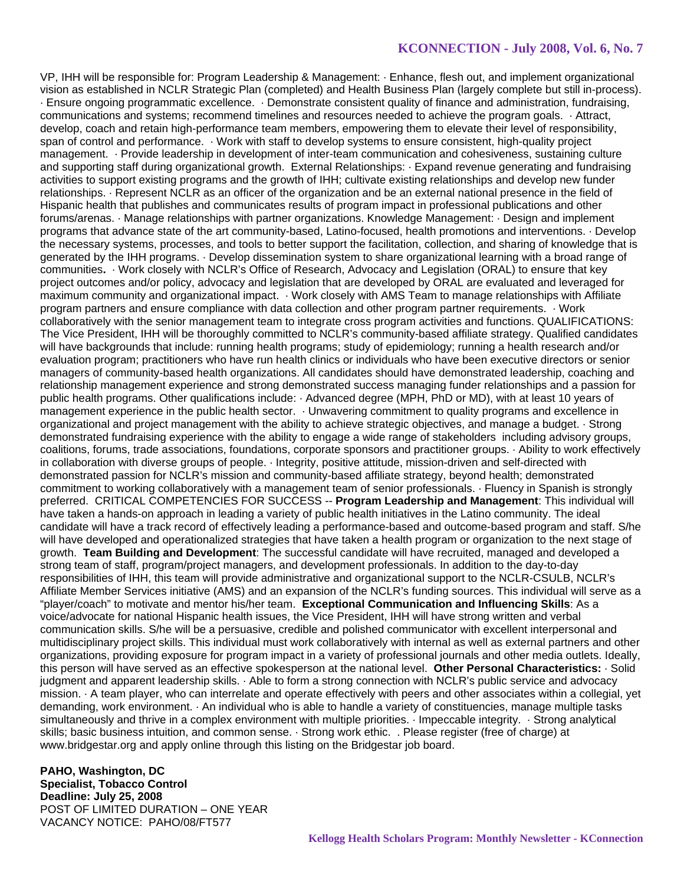VP, IHH will be responsible for: Program Leadership & Management: · Enhance, flesh out, and implement organizational vision as established in NCLR Strategic Plan (completed) and Health Business Plan (largely complete but still in-process). · Ensure ongoing programmatic excellence. · Demonstrate consistent quality of finance and administration, fundraising, communications and systems; recommend timelines and resources needed to achieve the program goals. · Attract, develop, coach and retain high-performance team members, empowering them to elevate their level of responsibility, span of control and performance. · Work with staff to develop systems to ensure consistent, high-quality project management. · Provide leadership in development of inter-team communication and cohesiveness, sustaining culture and supporting staff during organizational growth. External Relationships: · Expand revenue generating and fundraising activities to support existing programs and the growth of IHH; cultivate existing relationships and develop new funder relationships. · Represent NCLR as an officer of the organization and be an external national presence in the field of Hispanic health that publishes and communicates results of program impact in professional publications and other forums/arenas. · Manage relationships with partner organizations. Knowledge Management: · Design and implement programs that advance state of the art community-based, Latino-focused, health promotions and interventions. · Develop the necessary systems, processes, and tools to better support the facilitation, collection, and sharing of knowledge that is generated by the IHH programs. · Develop dissemination system to share organizational learning with a broad range of communities**.** · Work closely with NCLR's Office of Research, Advocacy and Legislation (ORAL) to ensure that key project outcomes and/or policy, advocacy and legislation that are developed by ORAL are evaluated and leveraged for maximum community and organizational impact. · Work closely with AMS Team to manage relationships with Affiliate program partners and ensure compliance with data collection and other program partner requirements. · Work collaboratively with the senior management team to integrate cross program activities and functions. QUALIFICATIONS: The Vice President, IHH will be thoroughly committed to NCLR's community-based affiliate strategy. Qualified candidates will have backgrounds that include: running health programs; study of epidemiology; running a health research and/or evaluation program; practitioners who have run health clinics or individuals who have been executive directors or senior managers of community-based health organizations. All candidates should have demonstrated leadership, coaching and relationship management experience and strong demonstrated success managing funder relationships and a passion for public health programs. Other qualifications include: · Advanced degree (MPH, PhD or MD), with at least 10 years of management experience in the public health sector. · Unwavering commitment to quality programs and excellence in organizational and project management with the ability to achieve strategic objectives, and manage a budget. · Strong demonstrated fundraising experience with the ability to engage a wide range of stakeholders including advisory groups, coalitions, forums, trade associations, foundations, corporate sponsors and practitioner groups. · Ability to work effectively in collaboration with diverse groups of people. · Integrity, positive attitude, mission-driven and self-directed with demonstrated passion for NCLR's mission and community-based affiliate strategy, beyond health; demonstrated commitment to working collaboratively with a management team of senior professionals. · Fluency in Spanish is strongly preferred. CRITICAL COMPETENCIES FOR SUCCESS -- **Program Leadership and Management**: This individual will have taken a hands-on approach in leading a variety of public health initiatives in the Latino community. The ideal candidate will have a track record of effectively leading a performance-based and outcome-based program and staff. S/he will have developed and operationalized strategies that have taken a health program or organization to the next stage of growth. **Team Building and Development**: The successful candidate will have recruited, managed and developed a strong team of staff, program/project managers, and development professionals. In addition to the day-to-day responsibilities of IHH, this team will provide administrative and organizational support to the NCLR-CSULB, NCLR's Affiliate Member Services initiative (AMS) and an expansion of the NCLR's funding sources. This individual will serve as a "player/coach" to motivate and mentor his/her team. **Exceptional Communication and Influencing Skills**: As a voice/advocate for national Hispanic health issues, the Vice President, IHH will have strong written and verbal communication skills. S/he will be a persuasive, credible and polished communicator with excellent interpersonal and multidisciplinary project skills. This individual must work collaboratively with internal as well as external partners and other organizations, providing exposure for program impact in a variety of professional journals and other media outlets. Ideally, this person will have served as an effective spokesperson at the national level. **Other Personal Characteristics:** · Solid judgment and apparent leadership skills. · Able to form a strong connection with NCLR's public service and advocacy mission. · A team player, who can interrelate and operate effectively with peers and other associates within a collegial, yet demanding, work environment. · An individual who is able to handle a variety of constituencies, manage multiple tasks simultaneously and thrive in a complex environment with multiple priorities. Impeccable integrity. · Strong analytical skills; basic business intuition, and common sense. · Strong work ethic. . Please register (free of charge) at www.bridgestar.org and apply online through this listing on the Bridgestar job board.

**PAHO, Washington, DC Specialist, Tobacco Control Deadline: July 25, 2008** POST OF LIMITED DURATION – ONE YEAR VACANCY NOTICE: PAHO/08/FT577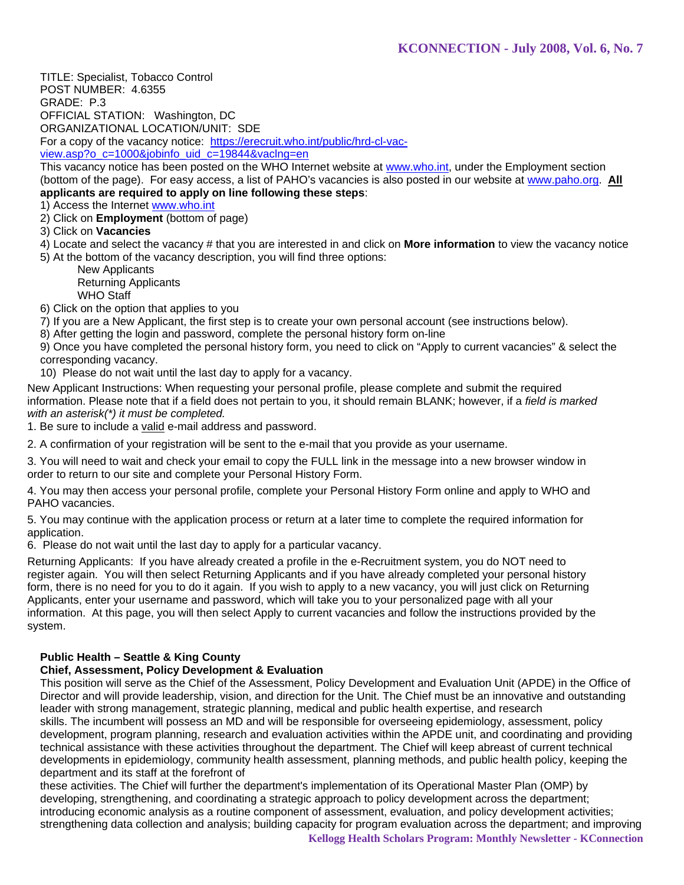TITLE: Specialist, Tobacco Control POST NUMBER: 4.6355 GRADE: P.3

OFFICIAL STATION: Washington, DC

ORGANIZATIONAL LOCATION/UNIT: SDE

For a copy of the vacancy notice: https://erecruit.who.int/public/hrd-cl-vac-

view.asp?o\_c=1000&jobinfo\_uid\_c=19844&vaclng=en

This vacancy notice has been posted on the WHO Internet website at www.who.int, under the Employment section (bottom of the page). For easy access, a list of PAHO's vacancies is also posted in our website at www.paho.org. **All applicants are required to apply on line following these steps**:

1) Access the Internet www.who.int

2) Click on **Employment** (bottom of page)

3) Click on **Vacancies**

4) Locate and select the vacancy # that you are interested in and click on **More information** to view the vacancy notice 5) At the bottom of the vacancy description, you will find three options:

 New Applicants Returning Applicants WHO Staff

6) Click on the option that applies to you

7) If you are a New Applicant, the first step is to create your own personal account (see instructions below).

8) After getting the login and password, complete the personal history form on-line

9) Once you have completed the personal history form, you need to click on "Apply to current vacancies" & select the corresponding vacancy.

10) Please do not wait until the last day to apply for a vacancy.

New Applicant Instructions: When requesting your personal profile, please complete and submit the required information. Please note that if a field does not pertain to you, it should remain BLANK; however, if a *field is marked with an asterisk(\*) it must be completed.* 

1. Be sure to include a valid e-mail address and password.

2. A confirmation of your registration will be sent to the e-mail that you provide as your username.

3. You will need to wait and check your email to copy the FULL link in the message into a new browser window in order to return to our site and complete your Personal History Form.

4. You may then access your personal profile, complete your Personal History Form online and apply to WHO and PAHO vacancies.

5. You may continue with the application process or return at a later time to complete the required information for application.

6. Please do not wait until the last day to apply for a particular vacancy.

Returning Applicants: If you have already created a profile in the e-Recruitment system, you do NOT need to register again. You will then select Returning Applicants and if you have already completed your personal history form, there is no need for you to do it again. If you wish to apply to a new vacancy, you will just click on Returning Applicants, enter your username and password, which will take you to your personalized page with all your information. At this page, you will then select Apply to current vacancies and follow the instructions provided by the system.

# **Public Health – Seattle & King County**

# **Chief, Assessment, Policy Development & Evaluation**

This position will serve as the Chief of the Assessment, Policy Development and Evaluation Unit (APDE) in the Office of Director and will provide leadership, vision, and direction for the Unit. The Chief must be an innovative and outstanding leader with strong management, strategic planning, medical and public health expertise, and research skills. The incumbent will possess an MD and will be responsible for overseeing epidemiology, assessment, policy development, program planning, research and evaluation activities within the APDE unit, and coordinating and providing

technical assistance with these activities throughout the department. The Chief will keep abreast of current technical developments in epidemiology, community health assessment, planning methods, and public health policy, keeping the department and its staff at the forefront of

these activities. The Chief will further the department's implementation of its Operational Master Plan (OMP) by developing, strengthening, and coordinating a strategic approach to policy development across the department; introducing economic analysis as a routine component of assessment, evaluation, and policy development activities; strengthening data collection and analysis; building capacity for program evaluation across the department; and improving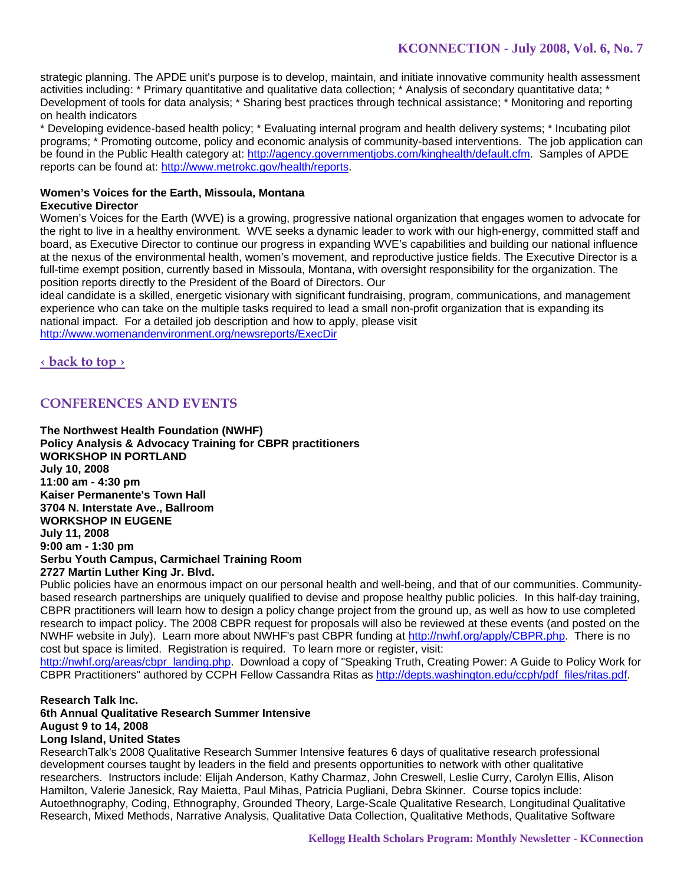strategic planning. The APDE unit's purpose is to develop, maintain, and initiate innovative community health assessment activities including: \* Primary quantitative and qualitative data collection; \* Analysis of secondary quantitative data; \* Development of tools for data analysis; \* Sharing best practices through technical assistance; \* Monitoring and reporting on health indicators

\* Developing evidence-based health policy; \* Evaluating internal program and health delivery systems; \* Incubating pilot programs; \* Promoting outcome, policy and economic analysis of community-based interventions. The job application can be found in the Public Health category at: http://agency.governmentjobs.com/kinghealth/default.cfm. Samples of APDE reports can be found at: http://www.metrokc.gov/health/reports.

#### **Women's Voices for the Earth, Missoula, Montana Executive Director**

Women's Voices for the Earth (WVE) is a growing, progressive national organization that engages women to advocate for the right to live in a healthy environment. WVE seeks a dynamic leader to work with our high-energy, committed staff and board, as Executive Director to continue our progress in expanding WVE's capabilities and building our national influence at the nexus of the environmental health, women's movement, and reproductive justice fields. The Executive Director is a full-time exempt position, currently based in Missoula, Montana, with oversight responsibility for the organization. The position reports directly to the President of the Board of Directors. Our

ideal candidate is a skilled, energetic visionary with significant fundraising, program, communications, and management experience who can take on the multiple tasks required to lead a small non-profit organization that is expanding its national impact. For a detailed job description and how to apply, please visit http://www.womenandenvironment.org/newsreports/ExecDir

**‹ back to top ›**

# **CONFERENCES AND EVENTS**

**The Northwest Health Foundation (NWHF) Policy Analysis & Advocacy Training for CBPR practitioners WORKSHOP IN PORTLAND July 10, 2008 11:00 am - 4:30 pm Kaiser Permanente's Town Hall 3704 N. Interstate Ave., Ballroom WORKSHOP IN EUGENE July 11, 2008 9:00 am - 1:30 pm Serbu Youth Campus, Carmichael Training Room 2727 Martin Luther King Jr. Blvd.** 

Public policies have an enormous impact on our personal health and well-being, and that of our communities. Communitybased research partnerships are uniquely qualified to devise and propose healthy public policies. In this half-day training, CBPR practitioners will learn how to design a policy change project from the ground up, as well as how to use completed research to impact policy. The 2008 CBPR request for proposals will also be reviewed at these events (and posted on the NWHF website in July). Learn more about NWHF's past CBPR funding at http://nwhf.org/apply/CBPR.php. There is no cost but space is limited. Registration is required. To learn more or register, visit:

http://nwhf.org/areas/cbpr\_landing.php. Download a copy of "Speaking Truth, Creating Power: A Guide to Policy Work for CBPR Practitioners" authored by CCPH Fellow Cassandra Ritas as http://depts.washington.edu/ccph/pdf\_files/ritas.pdf.

#### **Research Talk Inc. 6th Annual Qualitative Research Summer Intensive August 9 to 14, 2008**

### **Long Island, United States**

ResearchTalk's 2008 Qualitative Research Summer Intensive features 6 days of qualitative research professional development courses taught by leaders in the field and presents opportunities to network with other qualitative researchers. Instructors include: Elijah Anderson, Kathy Charmaz, John Creswell, Leslie Curry, Carolyn Ellis, Alison Hamilton, Valerie Janesick, Ray Maietta, Paul Mihas, Patricia Pugliani, Debra Skinner. Course topics include: Autoethnography, Coding, Ethnography, Grounded Theory, Large-Scale Qualitative Research, Longitudinal Qualitative Research, Mixed Methods, Narrative Analysis, Qualitative Data Collection, Qualitative Methods, Qualitative Software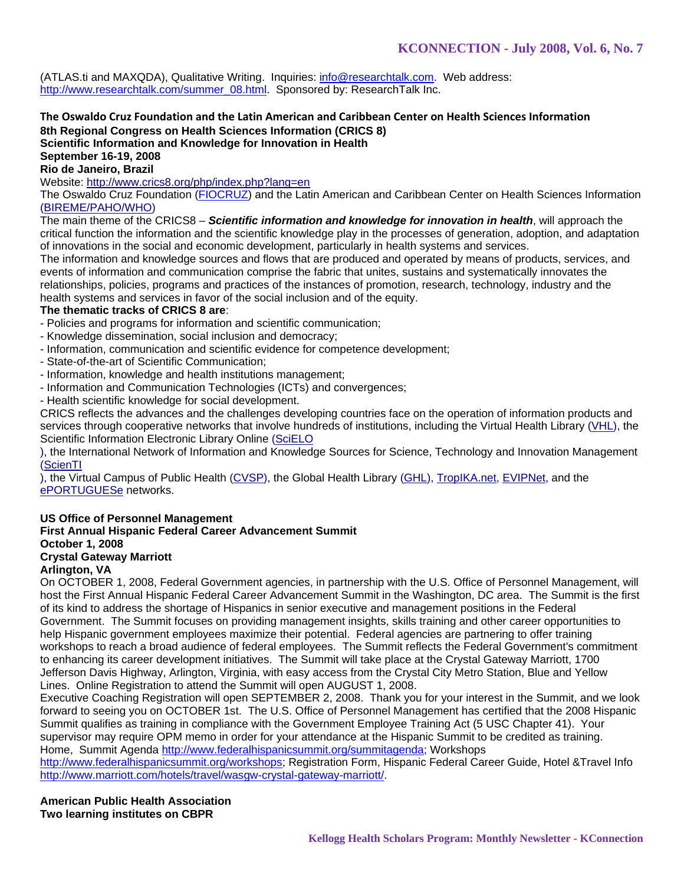(ATLAS.ti and MAXQDA), Qualitative Writing. Inquiries: info@researchtalk.com. Web address: http://www.researchtalk.com/summer\_08.html. Sponsored by: ResearchTalk Inc.

#### **The Oswaldo Cruz Foundation and the Latin American and Caribbean Center on Health Sciences Information 8th Regional Congress on Health Sciences Information (CRICS 8) Scientific Information and Knowledge for Innovation in Health September 16-19, 2008**

### **Rio de Janeiro, Brazil**

Website: http://www.crics8.org/php/index.php?lang=en

The Oswaldo Cruz Foundation (FIOCRUZ) and the Latin American and Caribbean Center on Health Sciences Information (BIREME/PAHO/WHO)

The main theme of the CRICS8 – *Scientific information and knowledge for innovation in health*, will approach the critical function the information and the scientific knowledge play in the processes of generation, adoption, and adaptation of innovations in the social and economic development, particularly in health systems and services.

The information and knowledge sources and flows that are produced and operated by means of products, services, and events of information and communication comprise the fabric that unites, sustains and systematically innovates the relationships, policies, programs and practices of the instances of promotion, research, technology, industry and the health systems and services in favor of the social inclusion and of the equity.

### **The thematic tracks of CRICS 8 are**:

- Policies and programs for information and scientific communication;
- Knowledge dissemination, social inclusion and democracy;
- Information, communication and scientific evidence for competence development;
- State-of-the-art of Scientific Communication;
- Information, knowledge and health institutions management;
- Information and Communication Technologies (ICTs) and convergences;
- Health scientific knowledge for social development.

CRICS reflects the advances and the challenges developing countries face on the operation of information products and services through cooperative networks that involve hundreds of institutions, including the Virtual Health Library (VHL), the Scientific Information Electronic Library Online (SciELO

), the International Network of Information and Knowledge Sources for Science, Technology and Innovation Management (ScienTI

), the Virtual Campus of Public Health (CVSP), the Global Health Library (GHL), TropIKA.net, EVIPNet, and the ePORTUGUESe networks.

# **US Office of Personnel Management**

### **First Annual Hispanic Federal Career Advancement Summit**

### **October 1, 2008**

### **Crystal Gateway Marriott**

### **Arlington, VA**

On OCTOBER 1, 2008, Federal Government agencies, in partnership with the U.S. Office of Personnel Management, will host the First Annual Hispanic Federal Career Advancement Summit in the Washington, DC area. The Summit is the first of its kind to address the shortage of Hispanics in senior executive and management positions in the Federal Government. The Summit focuses on providing management insights, skills training and other career opportunities to help Hispanic government employees maximize their potential. Federal agencies are partnering to offer training workshops to reach a broad audience of federal employees. The Summit reflects the Federal Government's commitment to enhancing its career development initiatives. The Summit will take place at the Crystal Gateway Marriott, 1700 Jefferson Davis Highway, Arlington, Virginia, with easy access from the Crystal City Metro Station, Blue and Yellow Lines. Online Registration to attend the Summit will open AUGUST 1, 2008.

Executive Coaching Registration will open SEPTEMBER 2, 2008. Thank you for your interest in the Summit, and we look forward to seeing you on OCTOBER 1st. The U.S. Office of Personnel Management has certified that the 2008 Hispanic Summit qualifies as training in compliance with the Government Employee Training Act (5 USC Chapter 41). Your supervisor may require OPM memo in order for your attendance at the Hispanic Summit to be credited as training. Home, Summit Agenda http://www.federalhispanicsummit.org/summitagenda; Workshops

http://www.federalhispanicsummit.org/workshops; Registration Form, Hispanic Federal Career Guide, Hotel &Travel Info http://www.marriott.com/hotels/travel/wasgw-crystal-gateway-marriott/.

**American Public Health Association Two learning institutes on CBPR**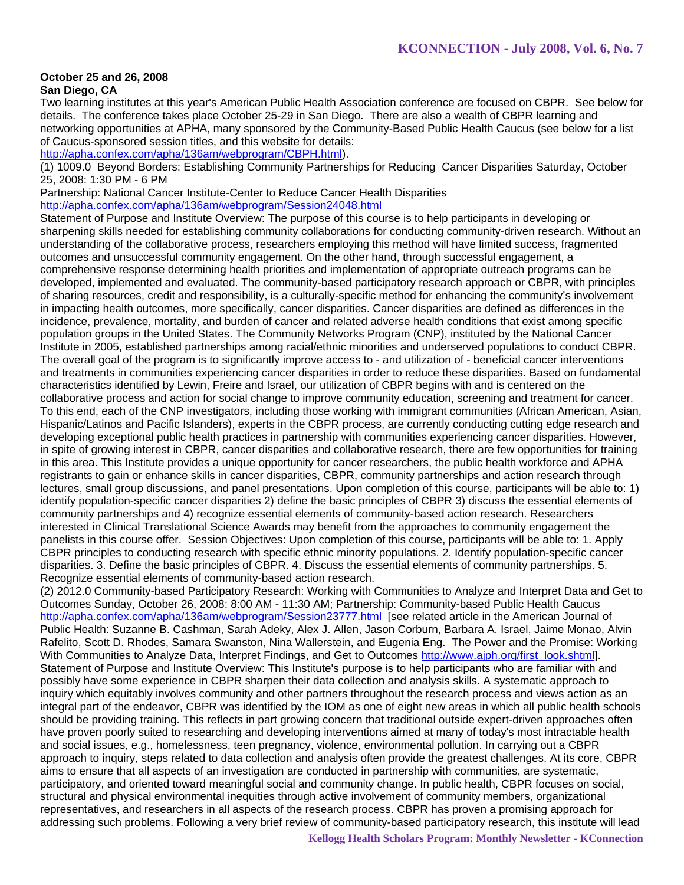#### **October 25 and 26, 2008 San Diego, CA**

Two learning institutes at this year's American Public Health Association conference are focused on CBPR. See below for details. The conference takes place October 25-29 in San Diego. There are also a wealth of CBPR learning and networking opportunities at APHA, many sponsored by the Community-Based Public Health Caucus (see below for a list of Caucus-sponsored session titles, and this website for details:

http://apha.confex.com/apha/136am/webprogram/CBPH.html).

(1) 1009.0 Beyond Borders: Establishing Community Partnerships for Reducing Cancer Disparities Saturday, October 25, 2008: 1:30 PM - 6 PM

Partnership: National Cancer Institute-Center to Reduce Cancer Health Disparities

http://apha.confex.com/apha/136am/webprogram/Session24048.html

Statement of Purpose and Institute Overview: The purpose of this course is to help participants in developing or sharpening skills needed for establishing community collaborations for conducting community-driven research. Without an understanding of the collaborative process, researchers employing this method will have limited success, fragmented outcomes and unsuccessful community engagement. On the other hand, through successful engagement, a comprehensive response determining health priorities and implementation of appropriate outreach programs can be developed, implemented and evaluated. The community-based participatory research approach or CBPR, with principles of sharing resources, credit and responsibility, is a culturally-specific method for enhancing the community's involvement in impacting health outcomes, more specifically, cancer disparities. Cancer disparities are defined as differences in the incidence, prevalence, mortality, and burden of cancer and related adverse health conditions that exist among specific population groups in the United States. The Community Networks Program (CNP), instituted by the National Cancer Institute in 2005, established partnerships among racial/ethnic minorities and underserved populations to conduct CBPR. The overall goal of the program is to significantly improve access to - and utilization of - beneficial cancer interventions and treatments in communities experiencing cancer disparities in order to reduce these disparities. Based on fundamental characteristics identified by Lewin, Freire and Israel, our utilization of CBPR begins with and is centered on the collaborative process and action for social change to improve community education, screening and treatment for cancer. To this end, each of the CNP investigators, including those working with immigrant communities (African American, Asian, Hispanic/Latinos and Pacific Islanders), experts in the CBPR process, are currently conducting cutting edge research and developing exceptional public health practices in partnership with communities experiencing cancer disparities. However, in spite of growing interest in CBPR, cancer disparities and collaborative research, there are few opportunities for training in this area. This Institute provides a unique opportunity for cancer researchers, the public health workforce and APHA registrants to gain or enhance skills in cancer disparities, CBPR, community partnerships and action research through lectures, small group discussions, and panel presentations. Upon completion of this course, participants will be able to: 1) identify population-specific cancer disparities 2) define the basic principles of CBPR 3) discuss the essential elements of community partnerships and 4) recognize essential elements of community-based action research. Researchers interested in Clinical Translational Science Awards may benefit from the approaches to community engagement the panelists in this course offer. Session Objectives: Upon completion of this course, participants will be able to: 1. Apply CBPR principles to conducting research with specific ethnic minority populations. 2. Identify population-specific cancer disparities. 3. Define the basic principles of CBPR. 4. Discuss the essential elements of community partnerships. 5. Recognize essential elements of community-based action research.

(2) 2012.0 Community-based Participatory Research: Working with Communities to Analyze and Interpret Data and Get to Outcomes Sunday, October 26, 2008: 8:00 AM - 11:30 AM; Partnership: Community-based Public Health Caucus http://apha.confex.com/apha/136am/webprogram/Session23777.html [see related article in the American Journal of Public Health: Suzanne B. Cashman, Sarah Adeky, Alex J. Allen, Jason Corburn, Barbara A. Israel, Jaime Monao, Alvin Rafelito, Scott D. Rhodes, Samara Swanston, Nina Wallerstein, and Eugenia Eng. The Power and the Promise: Working With Communities to Analyze Data, Interpret Findings, and Get to Outcomes http://www.ajph.org/first\_look.shtml]. Statement of Purpose and Institute Overview: This Institute's purpose is to help participants who are familiar with and possibly have some experience in CBPR sharpen their data collection and analysis skills. A systematic approach to inquiry which equitably involves community and other partners throughout the research process and views action as an integral part of the endeavor, CBPR was identified by the IOM as one of eight new areas in which all public health schools should be providing training. This reflects in part growing concern that traditional outside expert-driven approaches often have proven poorly suited to researching and developing interventions aimed at many of today's most intractable health and social issues, e.g., homelessness, teen pregnancy, violence, environmental pollution. In carrying out a CBPR approach to inquiry, steps related to data collection and analysis often provide the greatest challenges. At its core, CBPR aims to ensure that all aspects of an investigation are conducted in partnership with communities, are systematic, participatory, and oriented toward meaningful social and community change. In public health, CBPR focuses on social, structural and physical environmental inequities through active involvement of community members, organizational representatives, and researchers in all aspects of the research process. CBPR has proven a promising approach for addressing such problems. Following a very brief review of community-based participatory research, this institute will lead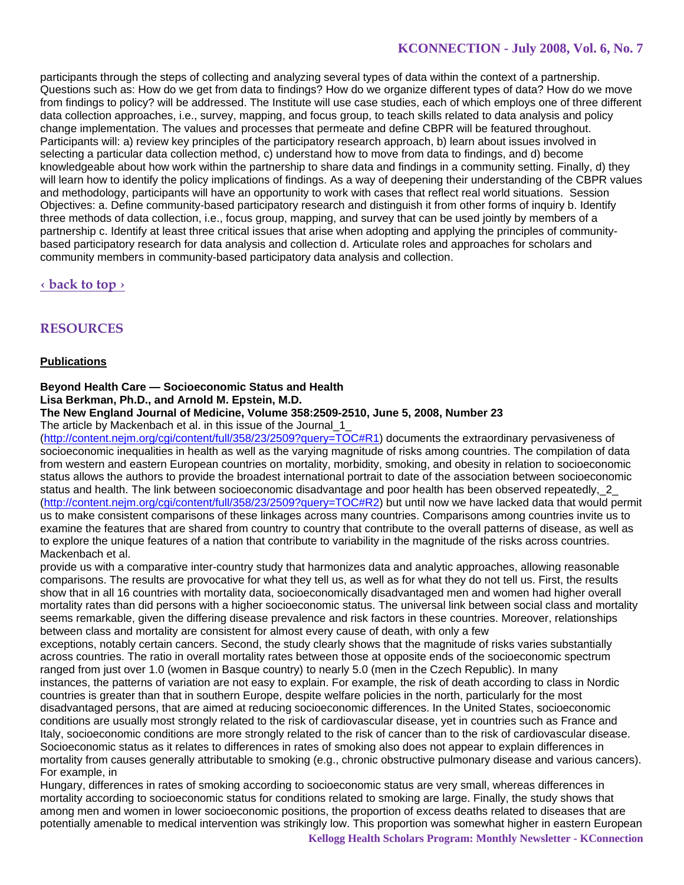participants through the steps of collecting and analyzing several types of data within the context of a partnership. Questions such as: How do we get from data to findings? How do we organize different types of data? How do we move from findings to policy? will be addressed. The Institute will use case studies, each of which employs one of three different data collection approaches, i.e., survey, mapping, and focus group, to teach skills related to data analysis and policy change implementation. The values and processes that permeate and define CBPR will be featured throughout. Participants will: a) review key principles of the participatory research approach, b) learn about issues involved in selecting a particular data collection method, c) understand how to move from data to findings, and d) become knowledgeable about how work within the partnership to share data and findings in a community setting. Finally, d) they will learn how to identify the policy implications of findings. As a way of deepening their understanding of the CBPR values and methodology, participants will have an opportunity to work with cases that reflect real world situations. Session Objectives: a. Define community-based participatory research and distinguish it from other forms of inquiry b. Identify three methods of data collection, i.e., focus group, mapping, and survey that can be used jointly by members of a partnership c. Identify at least three critical issues that arise when adopting and applying the principles of communitybased participatory research for data analysis and collection d. Articulate roles and approaches for scholars and community members in community-based participatory data analysis and collection.

# **‹ back to top ›**

# **RESOURCES**

### **Publications**

#### **Beyond Health Care — Socioeconomic Status and Health Lisa Berkman, Ph.D., and Arnold M. Epstein, M.D.**

### **The New England Journal of Medicine, Volume 358:2509-2510, June 5, 2008, Number 23**

The article by Mackenbach et al. in this issue of the Journal 1

(http://content.nejm.org/cgi/content/full/358/23/2509?query=TOC#R1) documents the extraordinary pervasiveness of socioeconomic inequalities in health as well as the varying magnitude of risks among countries. The compilation of data from western and eastern European countries on mortality, morbidity, smoking, and obesity in relation to socioeconomic status allows the authors to provide the broadest international portrait to date of the association between socioeconomic status and health. The link between socioeconomic disadvantage and poor health has been observed repeatedly, 2 (http://content.nejm.org/cgi/content/full/358/23/2509?query=TOC#R2) but until now we have lacked data that would permit us to make consistent comparisons of these linkages across many countries. Comparisons among countries invite us to examine the features that are shared from country to country that contribute to the overall patterns of disease, as well as to explore the unique features of a nation that contribute to variability in the magnitude of the risks across countries. Mackenbach et al.

provide us with a comparative inter-country study that harmonizes data and analytic approaches, allowing reasonable comparisons. The results are provocative for what they tell us, as well as for what they do not tell us. First, the results show that in all 16 countries with mortality data, socioeconomically disadvantaged men and women had higher overall mortality rates than did persons with a higher socioeconomic status. The universal link between social class and mortality seems remarkable, given the differing disease prevalence and risk factors in these countries. Moreover, relationships between class and mortality are consistent for almost every cause of death, with only a few

exceptions, notably certain cancers. Second, the study clearly shows that the magnitude of risks varies substantially across countries. The ratio in overall mortality rates between those at opposite ends of the socioeconomic spectrum ranged from just over 1.0 (women in Basque country) to nearly 5.0 (men in the Czech Republic). In many instances, the patterns of variation are not easy to explain. For example, the risk of death according to class in Nordic countries is greater than that in southern Europe, despite welfare policies in the north, particularly for the most disadvantaged persons, that are aimed at reducing socioeconomic differences. In the United States, socioeconomic conditions are usually most strongly related to the risk of cardiovascular disease, yet in countries such as France and Italy, socioeconomic conditions are more strongly related to the risk of cancer than to the risk of cardiovascular disease. Socioeconomic status as it relates to differences in rates of smoking also does not appear to explain differences in mortality from causes generally attributable to smoking (e.g., chronic obstructive pulmonary disease and various cancers). For example, in

Hungary, differences in rates of smoking according to socioeconomic status are very small, whereas differences in mortality according to socioeconomic status for conditions related to smoking are large. Finally, the study shows that among men and women in lower socioeconomic positions, the proportion of excess deaths related to diseases that are potentially amenable to medical intervention was strikingly low. This proportion was somewhat higher in eastern European

**Kellogg Health Scholars Program: Monthly Newsletter - KConnection**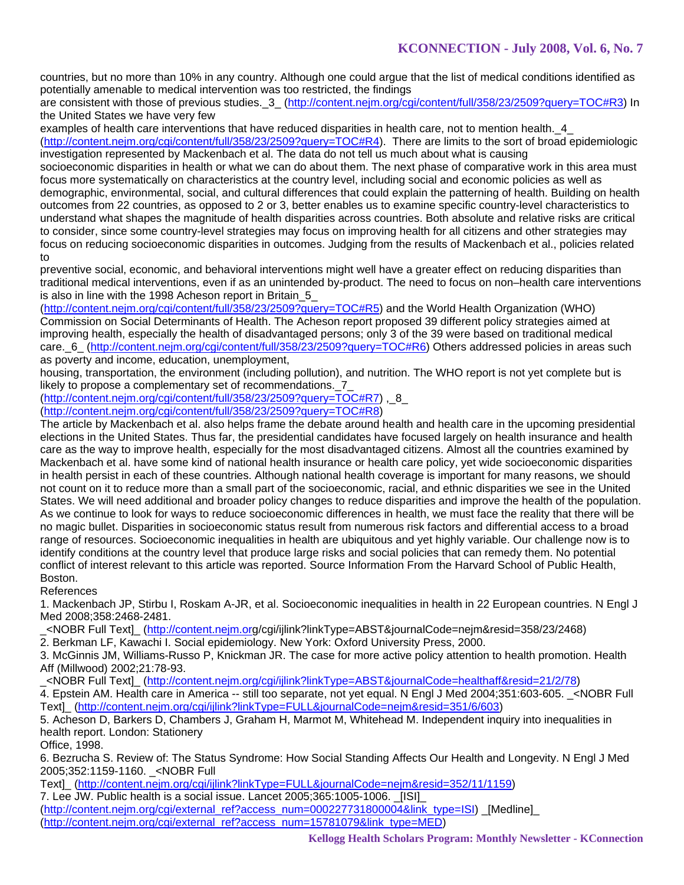countries, but no more than 10% in any country. Although one could argue that the list of medical conditions identified as potentially amenable to medical intervention was too restricted, the findings

are consistent with those of previous studies. 3 (http://content.nejm.org/cgi/content/full/358/23/2509?query=TOC#R3) In the United States we have very few

examples of health care interventions that have reduced disparities in health care, not to mention health. 4 (http://content.nejm.org/cgi/content/full/358/23/2509?query=TOC#R4). There are limits to the sort of broad epidemiologic investigation represented by Mackenbach et al. The data do not tell us much about what is causing

socioeconomic disparities in health or what we can do about them. The next phase of comparative work in this area must focus more systematically on characteristics at the country level, including social and economic policies as well as demographic, environmental, social, and cultural differences that could explain the patterning of health. Building on health outcomes from 22 countries, as opposed to 2 or 3, better enables us to examine specific country-level characteristics to understand what shapes the magnitude of health disparities across countries. Both absolute and relative risks are critical to consider, since some country-level strategies may focus on improving health for all citizens and other strategies may focus on reducing socioeconomic disparities in outcomes. Judging from the results of Mackenbach et al., policies related to

preventive social, economic, and behavioral interventions might well have a greater effect on reducing disparities than traditional medical interventions, even if as an unintended by-product. The need to focus on non–health care interventions is also in line with the 1998 Acheson report in Britain 5

(http://content.nejm.org/cgi/content/full/358/23/2509?query=TOC#R5) and the World Health Organization (WHO) Commission on Social Determinants of Health. The Acheson report proposed 39 different policy strategies aimed at improving health, especially the health of disadvantaged persons; only 3 of the 39 were based on traditional medical care. 6 (http://content.nejm.org/cgi/content/full/358/23/2509?query=TOC#R6) Others addressed policies in areas such as poverty and income, education, unemployment,

housing, transportation, the environment (including pollution), and nutrition. The WHO report is not yet complete but is likely to propose a complementary set of recommendations.\_7\_

(http://content.nejm.org/cgi/content/full/358/23/2509?query=TOC#R7) ,\_8\_

(http://content.nejm.org/cgi/content/full/358/23/2509?query=TOC#R8)

The article by Mackenbach et al. also helps frame the debate around health and health care in the upcoming presidential elections in the United States. Thus far, the presidential candidates have focused largely on health insurance and health care as the way to improve health, especially for the most disadvantaged citizens. Almost all the countries examined by Mackenbach et al. have some kind of national health insurance or health care policy, yet wide socioeconomic disparities in health persist in each of these countries. Although national health coverage is important for many reasons, we should not count on it to reduce more than a small part of the socioeconomic, racial, and ethnic disparities we see in the United States. We will need additional and broader policy changes to reduce disparities and improve the health of the population. As we continue to look for ways to reduce socioeconomic differences in health, we must face the reality that there will be no magic bullet. Disparities in socioeconomic status result from numerous risk factors and differential access to a broad range of resources. Socioeconomic inequalities in health are ubiquitous and yet highly variable. Our challenge now is to identify conditions at the country level that produce large risks and social policies that can remedy them. No potential conflict of interest relevant to this article was reported. Source Information From the Harvard School of Public Health, Boston.

References

1. Mackenbach JP, Stirbu I, Roskam A-JR, et al. Socioeconomic inequalities in health in 22 European countries. N Engl J Med 2008;358:2468-2481.

\_<NOBR Full Text]\_ (http://content.nejm.org/cgi/ijlink?linkType=ABST&journalCode=nejm&resid=358/23/2468) 2. Berkman LF, Kawachi I. Social epidemiology. New York: Oxford University Press, 2000.

3. McGinnis JM, Williams-Russo P, Knickman JR. The case for more active policy attention to health promotion. Health Aff (Millwood) 2002;21:78-93.

\_<NOBR Full Text]\_ (http://content.nejm.org/cgi/ijlink?linkType=ABST&journalCode=healthaff&resid=21/2/78)

4. Epstein AM. Health care in America -- still too separate, not yet equal. N Engl J Med 2004;351:603-605. \_<NOBR Full Text]\_ (http://content.nejm.org/cgi/ijlink?linkType=FULL&journalCode=nejm&resid=351/6/603)

5. Acheson D, Barkers D, Chambers J, Graham H, Marmot M, Whitehead M. Independent inquiry into inequalities in health report. London: Stationery

Office, 1998.

6. Bezrucha S. Review of: The Status Syndrome: How Social Standing Affects Our Health and Longevity. N Engl J Med 2005;352:1159-1160. \_<NOBR Full

Text]\_ (http://content.nejm.org/cgi/ijlink?linkType=FULL&journalCode=nejm&resid=352/11/1159)

7. Lee JW. Public health is a social issue. Lancet 2005;365:1005-1006. [ISI]

(http://content.nejm.org/cgi/external\_ref?access\_num=000227731800004&link\_type=ISI) \_[Medline]\_ (http://content.nejm.org/cgi/external\_ref?access\_num=15781079&link\_type=MED)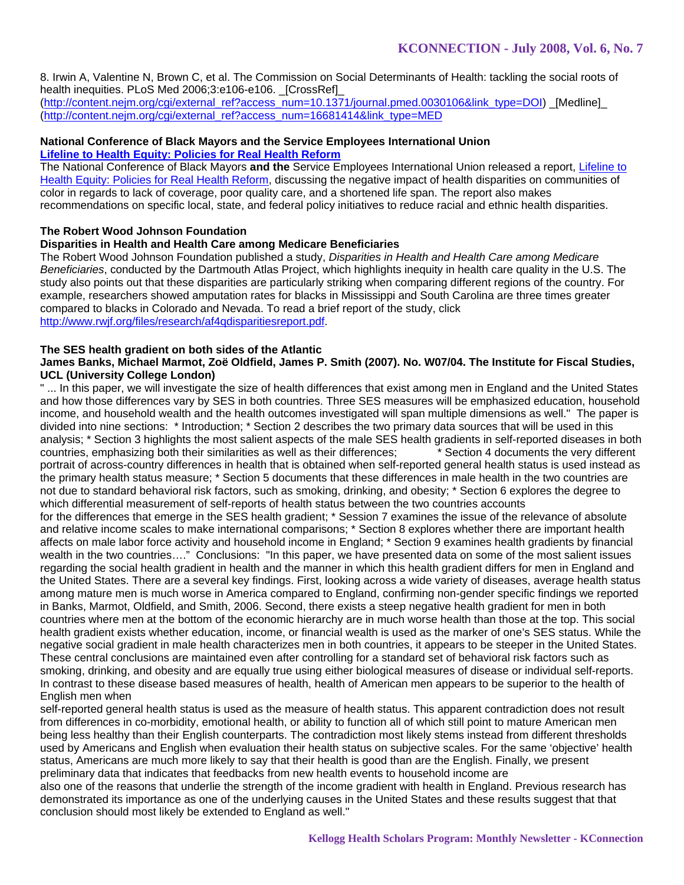8. Irwin A, Valentine N, Brown C, et al. The Commission on Social Determinants of Health: tackling the social roots of health inequities. PLoS Med 2006;3:e106-e106. \_[CrossRef]\_

(http://content.nejm.org/cgi/external\_ref?access\_num=10.1371/journal.pmed.0030106&link\_type=DOI) \_[Medline]\_ (http://content.nejm.org/cgi/external\_ref?access\_num=16681414&link\_type=MED

#### **National Conference of Black Mayors and the Service Employees International Union Lifeline to Health Equity: Policies for Real Health Reform**

The National Conference of Black Mayors **and the** Service Employees International Union released a report, Lifeline to Health Equity: Policies for Real Health Reform, discussing the negative impact of health disparities on communities of color in regards to lack of coverage, poor quality care, and a shortened life span. The report also makes recommendations on specific local, state, and federal policy initiatives to reduce racial and ethnic health disparities.

### **The Robert Wood Johnson Foundation**

### **Disparities in Health and Health Care among Medicare Beneficiaries**

The Robert Wood Johnson Foundation published a study, *Disparities in Health and Health Care among Medicare Beneficiaries*, conducted by the Dartmouth Atlas Project, which highlights inequity in health care quality in the U.S. The study also points out that these disparities are particularly striking when comparing different regions of the country. For example, researchers showed amputation rates for blacks in Mississippi and South Carolina are three times greater compared to blacks in Colorado and Nevada. To read a brief report of the study, click http://www.rwjf.org/files/research/af4qdisparitiesreport.pdf.

### **The SES health gradient on both sides of the Atlantic**

### **James Banks, Michael Marmot, Zoë Oldfield, James P. Smith (2007). No. W07/04. The Institute for Fiscal Studies, UCL (University College London)**

" ... In this paper, we will investigate the size of health differences that exist among men in England and the United States and how those differences vary by SES in both countries. Three SES measures will be emphasized education, household income, and household wealth and the health outcomes investigated will span multiple dimensions as well." The paper is divided into nine sections: \* Introduction; \* Section 2 describes the two primary data sources that will be used in this analysis; \* Section 3 highlights the most salient aspects of the male SES health gradients in self-reported diseases in both countries, emphasizing both their similarities as well as their differences; \* Section 4 documents the very different portrait of across-country differences in health that is obtained when self-reported general health status is used instead as the primary health status measure; \* Section 5 documents that these differences in male health in the two countries are not due to standard behavioral risk factors, such as smoking, drinking, and obesity; \* Section 6 explores the degree to which differential measurement of self-reports of health status between the two countries accounts

for the differences that emerge in the SES health gradient; \* Session 7 examines the issue of the relevance of absolute and relative income scales to make international comparisons; \* Section 8 explores whether there are important health affects on male labor force activity and household income in England; \* Section 9 examines health gradients by financial wealth in the two countries…." Conclusions: "In this paper, we have presented data on some of the most salient issues regarding the social health gradient in health and the manner in which this health gradient differs for men in England and the United States. There are a several key findings. First, looking across a wide variety of diseases, average health status among mature men is much worse in America compared to England, confirming non-gender specific findings we reported in Banks, Marmot, Oldfield, and Smith, 2006. Second, there exists a steep negative health gradient for men in both countries where men at the bottom of the economic hierarchy are in much worse health than those at the top. This social health gradient exists whether education, income, or financial wealth is used as the marker of one's SES status. While the negative social gradient in male health characterizes men in both countries, it appears to be steeper in the United States. These central conclusions are maintained even after controlling for a standard set of behavioral risk factors such as smoking, drinking, and obesity and are equally true using either biological measures of disease or individual self-reports. In contrast to these disease based measures of health, health of American men appears to be superior to the health of English men when

self-reported general health status is used as the measure of health status. This apparent contradiction does not result from differences in co-morbidity, emotional health, or ability to function all of which still point to mature American men being less healthy than their English counterparts. The contradiction most likely stems instead from different thresholds used by Americans and English when evaluation their health status on subjective scales. For the same 'objective' health status, Americans are much more likely to say that their health is good than are the English. Finally, we present preliminary data that indicates that feedbacks from new health events to household income are

also one of the reasons that underlie the strength of the income gradient with health in England. Previous research has demonstrated its importance as one of the underlying causes in the United States and these results suggest that that conclusion should most likely be extended to England as well."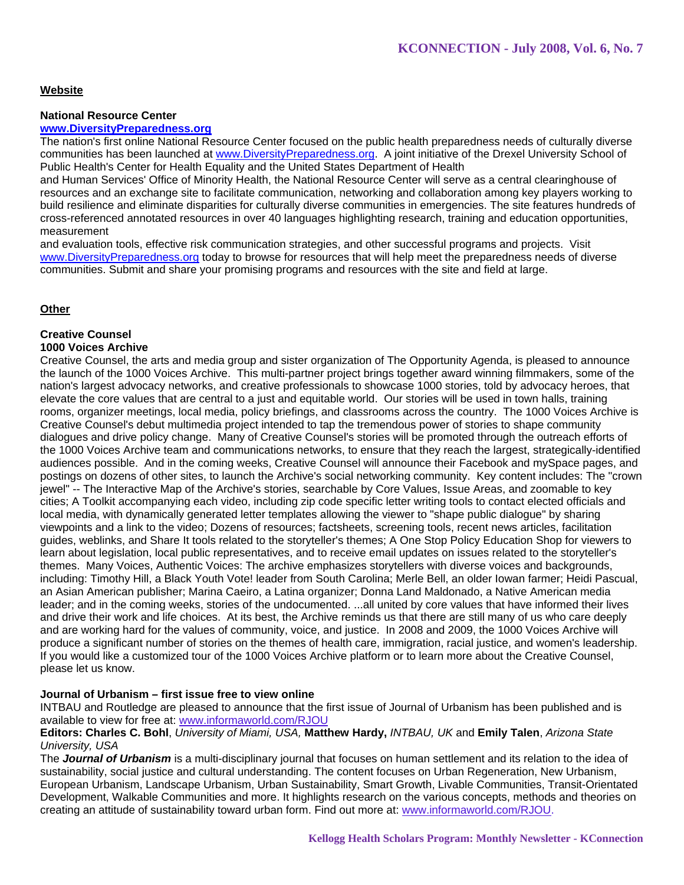### **Website**

### **National Resource Center**

### **www.DiversityPreparedness.org**

The nation's first online National Resource Center focused on the public health preparedness needs of culturally diverse communities has been launched at www.DiversityPreparedness.org. A joint initiative of the Drexel University School of Public Health's Center for Health Equality and the United States Department of Health

and Human Services' Office of Minority Health, the National Resource Center will serve as a central clearinghouse of resources and an exchange site to facilitate communication, networking and collaboration among key players working to build resilience and eliminate disparities for culturally diverse communities in emergencies. The site features hundreds of cross-referenced annotated resources in over 40 languages highlighting research, training and education opportunities, measurement

and evaluation tools, effective risk communication strategies, and other successful programs and projects. Visit www.DiversityPreparedness.org today to browse for resources that will help meet the preparedness needs of diverse communities. Submit and share your promising programs and resources with the site and field at large.

### **Other**

#### **Creative Counsel 1000 Voices Archive**

Creative Counsel, the arts and media group and sister organization of The Opportunity Agenda, is pleased to announce the launch of the 1000 Voices Archive. This multi-partner project brings together award winning filmmakers, some of the nation's largest advocacy networks, and creative professionals to showcase 1000 stories, told by advocacy heroes, that elevate the core values that are central to a just and equitable world. Our stories will be used in town halls, training rooms, organizer meetings, local media, policy briefings, and classrooms across the country. The 1000 Voices Archive is Creative Counsel's debut multimedia project intended to tap the tremendous power of stories to shape community dialogues and drive policy change. Many of Creative Counsel's stories will be promoted through the outreach efforts of the 1000 Voices Archive team and communications networks, to ensure that they reach the largest, strategically-identified audiences possible. And in the coming weeks, Creative Counsel will announce their Facebook and mySpace pages, and postings on dozens of other sites, to launch the Archive's social networking community. Key content includes: The "crown jewel" -- The Interactive Map of the Archive's stories, searchable by Core Values, Issue Areas, and zoomable to key cities; A Toolkit accompanying each video, including zip code specific letter writing tools to contact elected officials and local media, with dynamically generated letter templates allowing the viewer to "shape public dialogue" by sharing viewpoints and a link to the video; Dozens of resources; factsheets, screening tools, recent news articles, facilitation guides, weblinks, and Share It tools related to the storyteller's themes; A One Stop Policy Education Shop for viewers to learn about legislation, local public representatives, and to receive email updates on issues related to the storyteller's themes. Many Voices, Authentic Voices: The archive emphasizes storytellers with diverse voices and backgrounds, including: Timothy Hill, a Black Youth Vote! leader from South Carolina; Merle Bell, an older Iowan farmer; Heidi Pascual, an Asian American publisher; Marina Caeiro, a Latina organizer; Donna Land Maldonado, a Native American media leader; and in the coming weeks, stories of the undocumented. ...all united by core values that have informed their lives and drive their work and life choices. At its best, the Archive reminds us that there are still many of us who care deeply and are working hard for the values of community, voice, and justice. In 2008 and 2009, the 1000 Voices Archive will produce a significant number of stories on the themes of health care, immigration, racial justice, and women's leadership. If you would like a customized tour of the 1000 Voices Archive platform or to learn more about the Creative Counsel, please let us know.

### **Journal of Urbanism – first issue free to view online**

INTBAU and Routledge are pleased to announce that the first issue of Journal of Urbanism has been published and is available to view for free at: www.informaworld.com/RJOU

**Editors: Charles C. Bohl**, *University of Miami, USA,* **Matthew Hardy,** *INTBAU, UK* and **Emily Talen**, *Arizona State University, USA*

The *Journal of Urbanism* is a multi-disciplinary journal that focuses on human settlement and its relation to the idea of sustainability, social justice and cultural understanding. The content focuses on Urban Regeneration, New Urbanism, European Urbanism, Landscape Urbanism, Urban Sustainability, Smart Growth, Livable Communities, Transit-Orientated Development, Walkable Communities and more. It highlights research on the various concepts, methods and theories on creating an attitude of sustainability toward urban form. Find out more at: www.informaworld.com/RJOU.